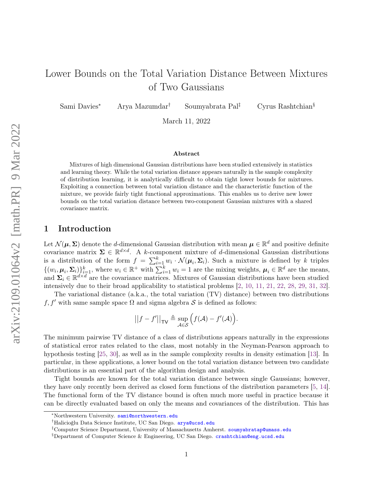# Lower Bounds on the Total Variation Distance Between Mixtures of Two Gaussians

Sami Davies<sup>∗</sup> Arya Mazumdar† Soumyabrata Pal‡ Cyrus Rashtchian§

March 11, 2022

#### Abstract

Mixtures of high dimensional Gaussian distributions have been studied extensively in statistics and learning theory. While the total variation distance appears naturally in the sample complexity of distribution learning, it is analytically difficult to obtain tight lower bounds for mixtures. Exploiting a connection between total variation distance and the characteristic function of the mixture, we provide fairly tight functional approximations. This enables us to derive new lower bounds on the total variation distance between two-component Gaussian mixtures with a shared covariance matrix.

# 1 Introduction

Let  $\mathcal{N}(\mu, \Sigma)$  denote the *d*-dimensional Gaussian distribution with mean  $\mu \in \mathbb{R}^d$  and positive definite covariance matrix  $\Sigma \in \mathbb{R}^{d \times d}$ . A k-component mixture of d-dimensional Gaussian distributions is a distribution of the form  $f = \sum_{i=1}^{k} w_i \cdot \mathcal{N}(\mu_i, \Sigma_i)$ . Such a mixture is defined by k triples  $\{(w_i, \mu_i, \Sigma_i)\}_{i=1}^k$ , where  $w_i \in \mathbb{R}^+$  with  $\sum_{i=1}^k w_i = 1$  are the mixing weights,  $\mu_i \in \mathbb{R}^d$  are the means, and  $\Sigma_i \in \mathbb{R}^{d \times d}$  are the covariance matrices. Mixtures of Gaussian distributions have been studied intensively due to their broad applicability to statistical problems [\[2,](#page-12-0) [10,](#page-13-0) [11,](#page-13-1) [21,](#page-13-2) [22,](#page-14-0) [28,](#page-14-1) [29,](#page-14-2) [31,](#page-14-3) [32\]](#page-14-4).

The variational distance (a.k.a., the total variation (TV) distance) between two distributions f, f' with same sample space  $\Omega$  and sigma algebra S is defined as follows:

$$
||f - f'||_{\mathsf{TV}} \triangleq \sup_{\mathcal{A} \in \mathcal{S}} \Big( f(\mathcal{A}) - f'(\mathcal{A}) \Big).
$$

The minimum pairwise TV distance of a class of distributions appears naturally in the expressions of statistical error rates related to the class, most notably in the Neyman-Pearson approach to hypothesis testing [\[25,](#page-14-5) [30\]](#page-14-6), as well as in the sample complexity results in density estimation [\[13\]](#page-13-3). In particular, in these applications, a lower bound on the total variation distance between two candidate distributions is an essential part of the algorithm design and analysis.

Tight bounds are known for the total variation distance between single Gaussians; however, they have only recently been derived as closed form functions of the distribution parameters [\[5,](#page-13-4) [14\]](#page-13-5). The functional form of the TV distance bound is often much more useful in practice because it can be directly evaluated based on only the means and covariances of the distribution. This has

<sup>∗</sup>Northwestern University. <sami@northwestern.edu>

<sup>&</sup>lt;sup>†</sup>Halicioğlu Data Science Institute, UC San Diego. <arya@ucsd.edu>

<sup>&</sup>lt;sup>‡</sup>Computer Science Department, University of Massachusetts Amherst. <soumyabratap@umass.edu>

<sup>§</sup>Department of Computer Science & Engineering, UC San Diego. <crashtchian@eng.ucsd.edu>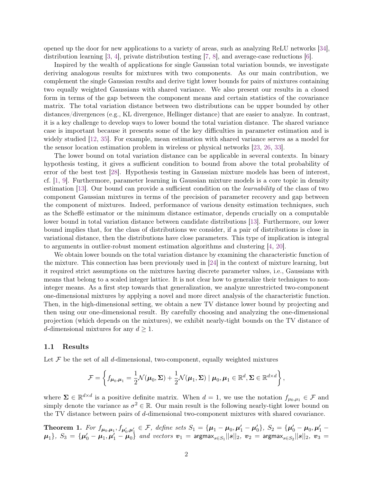opened up the door for new applications to a variety of areas, such as analyzing ReLU networks [\[34\]](#page-14-7), distribution learning [\[3,](#page-12-1) [4\]](#page-12-2), private distribution testing [\[7,](#page-13-6) [8\]](#page-13-7), and average-case reductions [\[6\]](#page-13-8).

Inspired by the wealth of applications for single Gaussian total variation bounds, we investigate deriving analogous results for mixtures with two components. As our main contribution, we complement the single Gaussian results and derive tight lower bounds for pairs of mixtures containing two equally weighted Gaussians with shared variance. We also present our results in a closed form in terms of the gap between the component means and certain statistics of the covariance matrix. The total variation distance between two distributions can be upper bounded by other distances/divergences (e.g., KL divergence, Hellinger distance) that are easier to analyze. In contrast, it is a key challenge to develop ways to lower bound the total variation distance. The shared variance case is important because it presents some of the key difficulties in parameter estimation and is widely studied [\[12,](#page-13-9) [35\]](#page-14-8). For example, mean estimation with shared variance serves as a model for the sensor location estimation problem in wireless or physical networks [\[23,](#page-14-9) [26,](#page-14-10) [33\]](#page-14-11).

The lower bound on total variation distance can be applicable in several contexts. In binary hypothesis testing, it gives a sufficient condition to bound from above the total probability of error of the best test [\[28\]](#page-14-1). Hypothesis testing in Gaussian mixture models has been of interest, cf. [\[1,](#page-12-3) [9\]](#page-13-10). Furthermore, parameter learning in Gaussian mixture models is a core topic in density estimation [\[13\]](#page-13-3). Our bound can provide a sufficient condition on the *learnability* of the class of two component Gaussian mixtures in terms of the precision of parameter recovery and gap between the component of mixtures. Indeed, performance of various density estimation techniques, such as the Scheffé estimator or the minimum distance estimator, depends crucially on a computable lower bound in total variation distance between candidate distributions [\[13\]](#page-13-3). Furthermore, our lower bound implies that, for the class of distributions we consider, if a pair of distributions is close in variational distance, then the distributions have close parameters. This type of implication is integral to arguments in outlier-robust moment estimation algorithms and clustering [\[4,](#page-12-2) [20\]](#page-13-11).

We obtain lower bounds on the total variation distance by examining the characteristic function of the mixture. This connection has been previously used in [\[24\]](#page-14-12) in the context of mixture learning, but it required strict assumptions on the mixtures having discrete parameter values, i.e., Gaussians with means that belong to a scaled integer lattice. It is not clear how to generalize their techniques to noninteger means. As a first step towards that generalization, we analyze unrestricted two-component one-dimensional mixtures by applying a novel and more direct analysis of the characteristic function. Then, in the high-dimensional setting, we obtain a new TV distance lower bound by projecting and then using our one-dimensional result. By carefully choosing and analyzing the one-dimensional projection (which depends on the mixtures), we exhibit nearly-tight bounds on the TV distance of d-dimensional mixtures for any  $d \geq 1$ .

## 1.1 Results

Let  $\mathcal F$  be the set of all d-dimensional, two-component, equally weighted mixtures

$$
\mathcal{F} = \left\{ f_{\boldsymbol{\mu}_0, \boldsymbol{\mu}_1} = \frac{1}{2} \mathcal{N}(\boldsymbol{\mu}_0, \boldsymbol{\Sigma}) + \frac{1}{2} \mathcal{N}(\boldsymbol{\mu}_1, \boldsymbol{\Sigma}) \mid \boldsymbol{\mu}_0, \boldsymbol{\mu}_1 \in \mathbb{R}^d, \boldsymbol{\Sigma} \in \mathbb{R}^{d \times d} \right\},
$$

where  $\Sigma \in \mathbb{R}^{d \times d}$  is a positive definite matrix. When  $d = 1$ , we use the notation  $f_{\mu_0,\mu_1} \in \mathcal{F}$  and simply denote the variance as  $\sigma^2 \in \mathbb{R}$ . Our main result is the following nearly-tight lower bound on the TV distance between pairs of d-dimensional two-component mixtures with shared covariance.

<span id="page-1-0"></span>Theorem 1. For  $f_{\mu_0,\mu_1}, f_{\mu'_0,\mu'_1} \in \mathcal{F}$ , define sets  $S_1 = {\mu_1 - \mu_0, \mu'_1 - \mu'_0}$ ,  $S_2 = {\mu'_0 - \mu_0, \mu'_1 - \mu'_1}$  $\mu_1$ },  $S_3 = {\mu'_0 - \mu_1, \mu'_1 - \mu_0}$  and vectors  $v_1 = \text{argmax}_{s \in S_1} ||s||_2$ ,  $v_2 = \text{argmax}_{s \in S_2} ||s||_2$ ,  $v_3 =$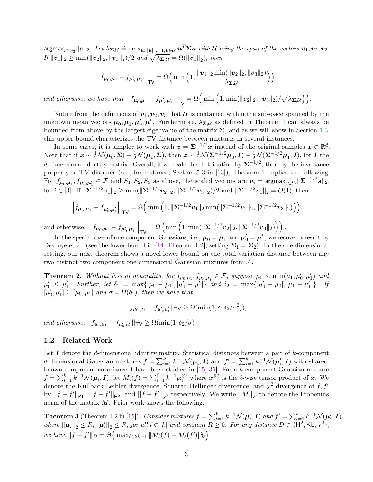$\arg\!\max_{s\in S_3}||s||_2.$  Let  $\lambda_{\bm{\Sigma},\mathcal{U}}\triangleq\max_{\bm{u}:\|\bm{u}\|_2=1,\bm{u}\in\mathcal{U}}\bm{u}^T\bm{\Sigma}\bm{u}$  with  $\mathcal U$  being the span of the vectors  $\bm{v}_1,\bm{v}_2,\bm{v}_3.$  $If ||v_1||_2 \ge \min(||v_2||_2, ||v_3||_2)/2$  and  $\sqrt{\lambda_{\Sigma,\mathcal{U}}} = \Omega(||v_1||_2)$ , then

$$
\left|\left|f_{\boldsymbol{\mu}_0,\boldsymbol{\mu}_1} - f_{\boldsymbol{\mu}_0',\boldsymbol{\mu}_1'}\right|\right|_{\sf TV} = \Omega\Big(\min\Big(1,\frac{\|\boldsymbol{v}_1\|_2\min(\|\boldsymbol{v}_2\|_2,\|\boldsymbol{v}_3\|_2)}{\lambda_{\boldsymbol{\Sigma},\mathcal{U}}}\Big)\Big),\right.
$$

and otherwise, we have that  $\vert$  $\int f_{\mu_0,\mu_1} - f_{\mu'_0,\mu'_1}$  $\begin{array}{c} \begin{array}{c} \begin{array}{c} \end{array} \\ \begin{array}{c} \end{array} \end{array} \end{array}$  $\Big|_{\mathsf{TV}} = \Omega\Big(\min\Big(1, \min(\|\boldsymbol{v}_2\|_2, \|\boldsymbol{v}_3\|_2)/\sqrt{\lambda_{\boldsymbol{\Sigma}, \mathcal{U}}}\Big)\Big).$ 

Notice from the definitions of  $v_1, v_2, v_3$  that U is contained within the subspace spanned by the unknown mean vectors  $\mu_0, \mu_1, \mu'_0, \mu'_1$  $\mu_0, \mu_1, \mu'_0, \mu'_1$  $\mu_0, \mu_1, \mu'_0, \mu'_1$ . Furthermore,  $\lambda_{\Sigma, \mathcal{U}}$  as defined in Theorem 1 can always be bounded from above by the largest eigenvalue of the matrix  $\Sigma$ , and as we will show in Section [1.3,](#page-3-0) this upper bound characterizes the TV distance between mixtures in several instances.

In some cases, it is simpler to work with  $z = \Sigma^{-1/2} x$  instead of the original samples  $x \in \mathbb{R}^d$ . Note that if  $\mathbf{x} \sim \frac{1}{2} \mathcal{N}(\boldsymbol{\mu}_0, \boldsymbol{\Sigma}) + \frac{1}{2} \mathcal{N}(\boldsymbol{\mu}_1, \boldsymbol{\Sigma})$ , then  $\mathbf{z} \sim \frac{1}{2} \mathcal{N}(\boldsymbol{\Sigma}^{-1/2} \boldsymbol{\mu}_0, \boldsymbol{I}) + \frac{1}{2} \mathcal{N}(\boldsymbol{\Sigma}^{-1/2} \boldsymbol{\mu}_1, \boldsymbol{I})$ , for  $\boldsymbol{I}$  the d-dimensional identity matrix. Overall, if we scale the distribution by  $\Sigma^{-1/2}$ , then by the invariance property of TV distance (see, for instance, Section 5.3 in [\[13\]](#page-13-3)), Theorem [1](#page-1-0) implies the following. For  $f_{\mu_0,\mu_1},f_{\mu'_0,\mu'_1}\in\mathcal{F}$  and  $S_1,S_2,S_3$  as above, the scaled vectors are  $\bm{v}_i=\mathsf{argmax}_{s\in S_i}||\bm{\Sigma}^{-1/2}s||_2,$ for  $i \in [3]$ . If  $\|\mathbf{\Sigma}^{-1/2}v_1\|_2 \ge \min(\|\mathbf{\Sigma}^{-1/2}v_2\|_2, \|\mathbf{\Sigma}^{-1/2}v_3\|_2)/2$  and  $\|\mathbf{\Sigma}^{-1/2}v_1\|_2 = O(1)$ , then

$$
\left\| f_{\mu_0, \mu_1} - f_{\mu'_0, \mu'_1} \right\|_{\text{TV}} = \Omega \Big( \min \Big( 1, \|\Sigma^{-1/2} v_1\|_2 \min(\|\Sigma^{-1/2} v_2\|_2, \|\Sigma^{-1/2} v_3\|_2) \Big) \Big),
$$

and otherwise,  $\vert$  $\int f_{\mu_0,\mu_1} - f_{\mu_0',\mu_1'}$   $\left.\bigg|_{\mathsf{TV}} = \Omega\left(\min\left(1, \min(\|\mathbf{\Sigma}^{-1/2} \boldsymbol{v}_2\|_2, \|\mathbf{\Sigma}^{-1/2} \boldsymbol{v}_3\|_2)\right)\right).$ 

In the special case of one component Gaussians, i.e.,  $\mu_0 = \mu_1$  and  $\mu'_0 = \mu'_1$ , we recover a result by Devroye et al. (see the lower bound in [\[14,](#page-13-5) Theorem 1.2], setting  $\Sigma_1 = \Sigma_2$ ). In the one-dimensional setting, our next theorem shows a novel lower bound on the total variation distance between any two distinct two-component one-dimensional Gaussian mixtures from F.

<span id="page-2-1"></span>**Theorem 2.** Without loss of generality, for  $f_{\mu_0,\mu_1}, f_{\mu'_0,\mu'_1} \in \mathcal{F}$ , suppose  $\mu_0 \leq \min(\mu_1, \mu'_0, \mu'_1)$  and  $\mu'_0 \leq \mu'_1$ . Further, let  $\delta_1 = \max\{|\mu_0 - \mu_1|, |\mu'_0 - \mu'_1|\}$  and  $\delta_2 = \max\{|\mu'_0 - \mu_0|, |\mu_1 - \mu'_1|\}$ . If  $[\mu'_0, \mu'_1] \subseteq [\mu_0, \mu_1]$  and  $\sigma = \Omega(\delta_1)$ , then we have that

$$
||f_{\mu_0,\mu_1} - f_{\mu'_0,\mu'_1}||_{\mathsf{TV}} \ge \Omega(\min(1,\delta_1\delta_2/\sigma^2)),
$$

and otherwise,  $||f_{\mu_0,\mu_1} - f_{\mu'_0,\mu'_1}||_{\mathsf{TV}} \ge \Omega(\min(1,\delta_2/\sigma)).$ 

## 1.2 Related Work

Let  $I$  denote the d-dimensional identity matrix. Statistical distances between a pair of  $k$ -component d-dimensional Gaussian mixtures  $f = \sum_{i=1}^{k} k^{-1} \mathcal{N}(\mu_i, I)$  and  $f' = \sum_{i=1}^{k} k^{-1} \mathcal{N}(\mu'_i, I)$  with shared, known component covariance  $I$  have been studied in [\[15,](#page-13-12) [35\]](#page-14-8). For a k-component Gaussian mixture  $f = \sum_{i=1}^k k^{-1} \mathcal{N}(\mu_i, I)$ , let  $M_\ell(f) = \sum_{i=1}^\ell k^{-1} \mu_i^{\otimes \ell}$  where  $\mathbf{x}^{\otimes \ell}$  is the  $\ell$ -wise tensor product of x. We denote the Kullback-Leibler divergence, Squared Hellinger divergence, and  $\chi^2$ -divergence of f, f' by  $||f - f'||_{\mathsf{KL}}$ ,  $||f - f'||_{\mathsf{H}^2}$ , and  $||f - f'||_{\chi^2}$  respectively. We write  $||M||_F$  to denote the Frobenius norm of the matrix  $M$ . Prior work shows the following.

<span id="page-2-0"></span>**Theorem 3** (Theorem 4.2 in [\[15\]](#page-13-12)). Consider mixtures  $f = \sum_{i=1}^{k} k^{-1} \mathcal{N}(\mu_i, I)$  and  $f' = \sum_{i=1}^{k} k^{-1} \mathcal{N}(\mu'_i, I)$ where  $||\mu_i||_2 \leq R$ ,  $||\mu'_i||_2 \leq R$ , for all  $i \in [k]$  and constant  $R \geq 0$ . For any distance  $D \in \{\mathsf{H}^2, \mathsf{KL}, \chi^2\}$ , we have  $||f - f'||_D = \Theta\Big(\max_{\ell \leq 2k-1} ||M_{\ell}(f) - M_{\ell}(f')||_F^2\Big).$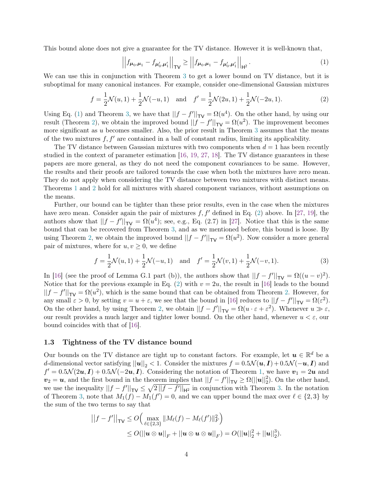This bound alone does not give a guarantee for the TV distance. However it is well-known that,

<span id="page-3-2"></span><span id="page-3-1"></span>
$$
\left| \left| f_{\mu_0, \mu_1} - f_{\mu'_0, \mu'_1} \right| \right|_{\text{TV}} \ge \left| \left| f_{\mu_0, \mu_1} - f_{\mu'_0, \mu'_1} \right| \right|_{\text{H}^2} . \tag{1}
$$

We can use this in conjunction with Theorem [3](#page-2-0) to get a lower bound on TV distance, but it is suboptimal for many canonical instances. For example, consider one-dimensional Gaussian mixtures

$$
f = \frac{1}{2}\mathcal{N}(u, 1) + \frac{1}{2}\mathcal{N}(-u, 1) \quad \text{and} \quad f' = \frac{1}{2}\mathcal{N}(2u, 1) + \frac{1}{2}\mathcal{N}(-2u, 1).
$$
 (2)

Using Eq. [\(1\)](#page-3-1) and Theorem [3,](#page-2-0) we have that  $||f - f'||_{TV} = \Omega(u^4)$ . On the other hand, by using our result (Theorem [2\)](#page-2-1), we obtain the improved bound  $||f - f'||_{TV} = \Omega(u^2)$ . The improvement becomes more significant as  $u$  becomes smaller. Also, the prior result in Theorem [3](#page-2-0) assumes that the means of the two mixtures  $f, f'$  are contained in a ball of constant radius, limiting its applicability.

The TV distance between Gaussian mixtures with two components when  $d = 1$  has been recently studied in the context of parameter estimation [\[16,](#page-13-13) [19,](#page-13-14) [27,](#page-14-13) [18\]](#page-13-15). The TV distance guarantees in these papers are more general, as they do not need the component covariances to be same. However, the results and their proofs are tailored towards the case when both the mixtures have zero mean. They do not apply when considering the TV distance between two mixtures with distinct means. Theorems [1](#page-1-0) and [2](#page-2-1) hold for all mixtures with shared component variances, without assumptions on the means.

Further, our bound can be tighter than these prior results, even in the case when the mixtures have zero mean. Consider again the pair of mixtures  $f, f'$  defined in Eq. [\(2\)](#page-3-2) above. In [\[27,](#page-14-13) [19\]](#page-13-14), the authors show that  $||f - f'||_{\mathsf{TV}} = \Omega(u^4)$ ; see, e.g., Eq. (2.7) in [\[27\]](#page-14-13). Notice that this is the same bound that can be recovered from Theorem [3,](#page-2-0) and as we mentioned before, this bound is loose. By using Theorem [2,](#page-2-1) we obtain the improved bound  $||f - f'||_{TV} = \Omega(u^2)$ . Now consider a more general pair of mixtures, where for  $u, v \geq 0$ , we define

$$
f = \frac{1}{2}\mathcal{N}(u, 1) + \frac{1}{2}\mathcal{N}(-u, 1) \text{ and } f' = \frac{1}{2}\mathcal{N}(v, 1) + \frac{1}{2}\mathcal{N}(-v, 1).
$$
 (3)

In [\[16\]](#page-13-13) (see the proof of Lemma G.1 part (b)), the authors show that  $||f - f'||_{\text{TV}} = \Omega((u - v)^2)$ . Notice that for the previous example in Eq. [\(2\)](#page-3-2) with  $v = 2u$ , the result in [\[16\]](#page-13-13) leads to the bound  $||f - f'||_{TV} = \Omega(u^2)$ , which is the same bound that can be obtained from Theorem [2.](#page-2-1) However, for any small  $\varepsilon > 0$ , by setting  $v = u + \varepsilon$ , we see that the bound in [\[16\]](#page-13-13) reduces to  $||f - f'||_{\mathsf{TV}} = \Omega(\varepsilon^2)$ . On the other hand, by using Theorem [2,](#page-2-1) we obtain  $||f - f'||_{TV} = \Omega(u \cdot \varepsilon + \varepsilon^2)$ . Whenever  $u \gg \varepsilon$ , our result provides a much larger and tighter lower bound. On the other hand, whenever  $u < \varepsilon$ , our bound coincides with that of [\[16\]](#page-13-13).

## <span id="page-3-0"></span>1.3 Tightness of the TV distance bound

Our bounds on the TV distance are tight up to constant factors. For example, let  $u \in \mathbb{R}^d$  be a d-dimensional vector satisfying  $||u||_2 < 1$ . Consider the mixtures  $f = 0.5\mathcal{N}(u, I) + 0.5\mathcal{N}(-u, I)$  and  $f' = 0.5\mathcal{N}(2u, I) + 0.5\mathcal{N}(-2u, I)$ . Considering the notation of Theorem [1,](#page-1-0) we have  $v_1 = 2u$  and  $v_2 = u$ , and the first bound in the theorem implies that  $||f - f'||_{\text{TV}} \ge \Omega(||u||_2^2)$ . On the other hand, we use the inequality  $||f - f'||_{TV} \leq \sqrt{2||f - f'||_{H^2}}$  in conjunction with Theorem [3.](#page-2-0) In the notation of Theorem [3,](#page-2-0) note that  $M_1(f) - M_1(f') = 0$ , and we can upper bound the max over  $\ell \in \{2, 3\}$  by the sum of the two terms to say that

$$
||f - f'||_{\mathsf{TV}} \le O\Big(\max_{\ell \in \{2,3\}} ||M_{\ell}(f) - M_{\ell}(f')||_F^2\Big) \le O(||\mathbf{u} \otimes \mathbf{u}||_F + ||\mathbf{u} \otimes \mathbf{u} \otimes \mathbf{u}||_F) = O(||\mathbf{u}||_2^2 + ||\mathbf{u}||_2^3).
$$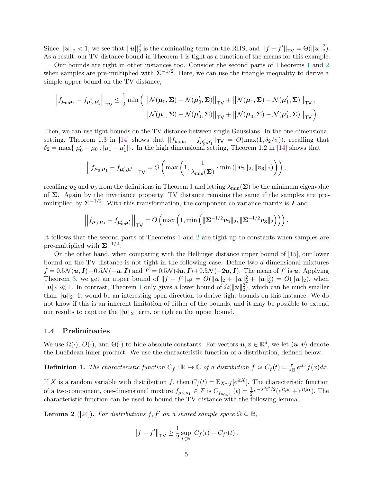Since  $||\mathbf{u}||_2 < 1$ , we see that  $||\mathbf{u}||_2^2$  is the dominating term on the RHS, and  $||f - f'||_{\mathsf{TV}} = \Theta(||\mathbf{u}||_2^2)$ . As a result, our TV distance bound in Theorem [1](#page-1-0) is tight as a function of the means for this example.

Our bounds are tight in other instances too. Consider the second parts of Theorems [1](#page-1-0) and [2](#page-2-1) when samples are pre-multiplied with  $\Sigma^{-1/2}$ . Here, we can use the triangle inequality to derive a simple upper bound on the TV distance,

$$
\left|\left|f_{\mu_0,\mu_1} - f_{\mu'_0,\mu'_1}\right|\right|_{\mathsf{TV}} \leq \frac{1}{2} \min\left(\left|\left|\mathcal{N}(\mu_0,\Sigma) - \mathcal{N}(\mu'_0,\Sigma)\right|\right|_{\mathsf{TV}} + \left|\left|\mathcal{N}(\mu_1,\Sigma) - \mathcal{N}(\mu'_1,\Sigma)\right|\right|_{\mathsf{TV}},\right.\right.
$$

$$
\left|\left|\mathcal{N}(\mu_1,\Sigma) - \mathcal{N}(\mu'_0,\Sigma)\right|\right|_{\mathsf{TV}} + \left|\left|\mathcal{N}(\mu_0,\Sigma) - \mathcal{N}(\mu'_1,\Sigma)\right|\right|_{\mathsf{TV}}\right).
$$

Then, we can use tight bounds on the TV distance between single Gaussians. In the one-dimensional setting, Theorem 1.3 in [\[14\]](#page-13-5) shows that  $||f_{\mu_0,\mu_1} - f_{\mu'_0,\mu'_1}||_{TV} = O(\max(1,\delta_2/\sigma))$ , recalling that  $\delta_2 = \max\{|\mu'_0 - \mu_0|, |\mu_1 - \mu'_1|\}.$  In the high dimensional setting, Theorem 1.2 in [\[14\]](#page-13-5) shows that

$$
\left|\left|f_{\boldsymbol{\mu}_0,\boldsymbol{\mu}_1} - f_{\boldsymbol{\mu}_0',\boldsymbol{\mu}_1'}\right|\right|_{\sf TV} = O\left(\max\left(1, \frac{1}{\lambda_{\min}(\boldsymbol{\Sigma})} \cdot \min\left(\|\boldsymbol{v_2}\|_2, \|\boldsymbol{v_3}\|_2\right)\right)\right),\right.
$$

recalling  $v_2$  and  $v_3$  from the definitions in Theorem [1](#page-1-0) and letting  $\lambda_{\min}(\Sigma)$  be the minimum eigenvalue of Σ. Again by the invariance property, TV distance remains the same if the samples are premultiplied by  $\Sigma^{-1/2}$ . With this transformation, the component co-variance matrix is  $I$  and

$$
\left|\left|f_{\boldsymbol{\mu}_0,\boldsymbol{\mu}_1} - f_{\boldsymbol{\mu}_0',\boldsymbol{\mu}_1'}\right|\right|_{\sf TV} = O\left(\max\left(1,\min\left(\|\boldsymbol{\Sigma}^{-1/2}\boldsymbol{v}_2\|_2,\|\boldsymbol{\Sigma}^{-1/2}\boldsymbol{v}_3\|_2\right)\right)\right).
$$

It follows that the second parts of Theorems [1](#page-1-0) and [2](#page-2-1) are tight up to constants when samples are pre-multiplied with  $\Sigma^{-1/2}$ .

On the other hand, when comparing with the Hellinger distance upper bound of [\[15\]](#page-13-12), our lower bound on the TV distance is not tight in the following case. Define two d-dimensional mixtures  $f = 0.5\mathcal{N}(\boldsymbol{u}, \boldsymbol{I}) + 0.5\mathcal{N}(-\boldsymbol{u}, \boldsymbol{I})$  and  $f' = 0.5\mathcal{N}(4\boldsymbol{u}, \boldsymbol{I}) + 0.5\mathcal{N}(-2\boldsymbol{u}, \boldsymbol{I})$ . The mean of f' is  $\boldsymbol{u}$ . Applying Theorem [3,](#page-2-0) we get an upper bound of  $||f - f'||_{\mathbf{H}^2} = O(||\mathbf{u}||_2 + ||\mathbf{u}||_2^2 + ||\mathbf{u}||_2^2) = O(||\mathbf{u}||_2)$ , when  $\|\mathbf{u}\|_2 \ll 1$  $\|\mathbf{u}\|_2 \ll 1$ . In contrast, Theorem 1 only gives a lower bound of  $\Omega(\|\mathbf{u}\|_2^2)$ , which can be much smaller than  $\|\mathbf{u}\|_2$ . It would be an interesting open direction to derive tight bounds on this instance. We do not know if this is an inherent limitation of either of the bounds, and it may be possible to extend our results to capture the  $\|\mathbf{u}\|_2$  term, or tighten the upper bound.

## 1.4 Preliminaries

We use  $\Omega(\cdot)$ ,  $O(\cdot)$ , and  $\Theta(\cdot)$  to hide absolute constants. For vectors  $u, v \in \mathbb{R}^d$ , we let  $\langle u, v \rangle$  denote the Euclidean inner product. We use the characteristic function of a distribution, defined below.

**Definition 1.** The characteristic function  $C_f : \mathbb{R} \to \mathbb{C}$  of a distribution f is  $C_f(t) = \int_{\mathbb{R}} e^{itx} f(x) dx$ .

If X is a random variable with distribution f, then  $C_f(t) = \mathbb{E}_{X \sim f}[e^{itX}]$ . The characteristic function of a two-component, one-dimensional mixture  $f_{\mu_0,\mu_1} \in \mathcal{F}$  is  $C_{f_{\mu_0,\mu_1}}(t) = \frac{1}{2}e^{-\sigma^2 t^2/2} (e^{it\mu_0} + e^{it\mu_1})$ . The characteristic function can be used to bound the TV distance with the following lemma.

<span id="page-4-0"></span>**Lemma 2** ([\[24\]](#page-14-12)). For distributions f, f' on a shared sample space  $\Omega \subseteq \mathbb{R}$ ,

$$
||f - f'||_{\mathsf{TV}} \ge \frac{1}{2} \sup_{t \in \mathbb{R}} |C_f(t) - C_{f'}(t)|.
$$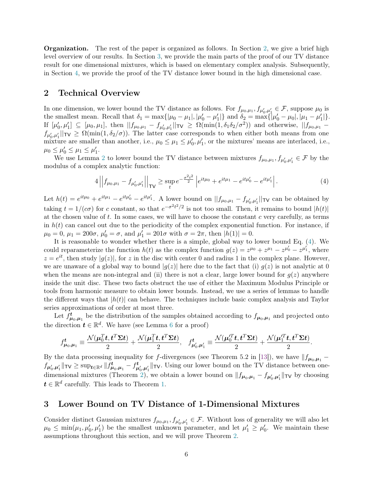**Organization.** The rest of the paper is organized as follows. In Section [2,](#page-5-0) we give a brief high level overview of our results. In Section [3,](#page-5-1) we provide the main parts of the proof of our TV distance result for one dimensional mixtures, which is based on elementary complex analysis. Subsequently, in Section [4,](#page-8-0) we provide the proof of the TV distance lower bound in the high dimensional case.

# <span id="page-5-0"></span>2 Technical Overview

In one dimension, we lower bound the TV distance as follows. For  $f_{\mu_0,\mu_1}, f_{\mu'_0,\mu'_1} \in \mathcal{F}$ , suppose  $\mu_0$  is the smallest mean. Recall that  $\delta_1 = \max\{|\mu_0 - \mu_1|, |\mu'_0 - \mu'_1|\}$  and  $\delta_2 = \max\{|\mu'_0 - \mu_0|, |\mu_1 - \mu'_1|\}.$ If  $[\mu'_0, \mu'_1] \subseteq [\mu_0, \mu_1]$ , then  $||f_{\mu_0, \mu_1} - f_{\mu'_0, \mu'_1}||_{TV} \geq \Omega(\min(1, \delta_1 \delta_2/\sigma^2))$  and otherwise,  $||f_{\mu_0, \mu_1} - f_{\mu'_0, \mu'_1}||_{TV}$  $f_{\mu'_0,\mu'_1}$   $\vert \vert_{\text{TV}} \geq \Omega(\min(1,\delta_2/\sigma))$ . The latter case corresponds to when either both means from one mixture are smaller than another, i.e.,  $\mu_0 \leq \mu_1 \leq \mu'_0, \mu'_1$ , or the mixtures' means are interlaced, i.e.,  $\mu_0 \le \mu'_0 \le \mu_1 \le \mu'_1.$ 

We use Lemma [2](#page-4-0) to lower bound the TV distance between mixtures  $f_{\mu_0,\mu_1}, f_{\mu'_0,\mu'_1} \in \mathcal{F}$  by the modulus of a complex analytic function:

<span id="page-5-2"></span>
$$
4||f_{\mu_0,\mu_1} - f_{\mu'_0,\mu'_1}||_{\mathsf{TV}} \ge \sup_t e^{-\frac{\sigma^2 t^2}{2}} \left| e^{it\mu_0} + e^{it\mu_1} - e^{it\mu'_0} - e^{it\mu'_1} \right|.
$$
 (4)

Let  $h(t) = e^{it\mu_0} + e^{it\mu_1} - e^{it\mu_0'} - e^{it\mu_1'}$ . A lower bound on  $||f_{\mu_0,\mu_1} - f_{\mu_0',\mu_1'}||$   $\tau$  can be obtained by taking  $t = 1/(c\sigma)$  for c constant, so that  $e^{-\sigma^2 t^2/2}$  is not too small. Then, it remains to bound  $|h(t)|$ at the chosen value of t. In some cases, we will have to choose the constant c very carefully, as terms in  $h(t)$  can cancel out due to the periodicity of the complex exponential function. For instance, if  $\mu_0 = 0, \, \mu_1 = 200\sigma, \, \mu'_0 = \sigma, \text{ and } \mu'_1 = 201\sigma \text{ with } \sigma = 2\pi, \text{ then } |h(1)| = 0.$ 

It is reasonable to wonder whether there is a simple, global way to lower bound Eq. [\(4\)](#page-5-2). We could reparameterize the function  $h(t)$  as the complex function  $g(z) = z^{\mu_0} + z^{\mu_1} - z^{\mu'_0} - z^{\mu'_1}$ , where  $z = e^{it}$ , then study  $|g(z)|$ , for z in the disc with center 0 and radius 1 in the complex plane. However, we are unaware of a global way to bound  $|g(z)|$  here due to the fact that (i)  $g(z)$  is not analytic at 0 when the means are non-integral and (ii) there is not a clear, large lower bound for  $q(z)$  anywhere inside the unit disc. These two facts obstruct the use of either the Maximum Modulus Principle or tools from harmonic measure to obtain lower bounds. Instead, we use a series of lemmas to handle the different ways that  $|h(t)|$  can behave. The techniques include basic complex analysis and Taylor series approximations of order at most three.

Let  $f_{\mu_0,\mu_1}^t$  be the distribution of the samples obtained according to  $f_{\mu_0,\mu_1}$  and projected onto the direction  $t \in \mathbb{R}^d$ . We have (see Lemma [6](#page-8-1) for a proof)

$$
f_{\boldsymbol{\mu}_0,\boldsymbol{\mu}_1}^{\boldsymbol{t}} \equiv \frac{\mathcal{N}(\boldsymbol{\mu}_0^T\boldsymbol{t},\boldsymbol{t}^T\boldsymbol{\Sigma}\boldsymbol{t})}{2} + \frac{\mathcal{N}(\boldsymbol{\mu}_1^T\boldsymbol{t},\boldsymbol{t}^T\boldsymbol{\Sigma}\boldsymbol{t})}{2}, \quad f_{\boldsymbol{\mu}_0',\boldsymbol{\mu}_1'}^{\boldsymbol{t}} \equiv \frac{\mathcal{N}(\boldsymbol{\mu}_0'^T\boldsymbol{t},\boldsymbol{t}^T\boldsymbol{\Sigma}\boldsymbol{t})}{2} + \frac{\mathcal{N}(\boldsymbol{\mu}_1'^T\boldsymbol{t},\boldsymbol{t}^T\boldsymbol{\Sigma}\boldsymbol{t})}{2}.
$$

By the data processing inequality for f-divergences (see Theorem 5.2 in [\[13\]](#page-13-3)), we have  $|| f_{\mu_0,\mu_1}$  $f_{\mu'_0,\mu'_1}$   $\Vert_{\text{TV}} \geq \sup_{t \in \mathbb{R}^d} \Vert f_{\mu_0,\mu_1}^t - f_{\mu'_0,\mu'_1}^t \Vert_{\text{TV}}$ . Using our lower bound on the TV distance between one-dimensional mixtures (Theorem [2\)](#page-2-1), we obtain a lower bound on  $||f_{\mu_0,\mu_1} - f_{\mu'_0,\mu'_1}||$  to by choosing  $t \in \mathbb{R}^d$  carefully. This leads to Theorem [1.](#page-1-0)

## <span id="page-5-1"></span>3 Lower Bound on TV Distance of 1-Dimensional Mixtures

Consider distinct Gaussian mixtures  $f_{\mu_0,\mu_1}, f_{\mu'_0,\mu'_1} \in \mathcal{F}$ . Without loss of generality we will also let  $\mu_0 \leq \min(\mu_1, \mu'_0, \mu'_1)$  be the smallest unknown parameter, and let  $\mu'_1 \geq \mu'_0$ . We maintain these assumptions throughout this section, and we will prove Theorem [2.](#page-2-1)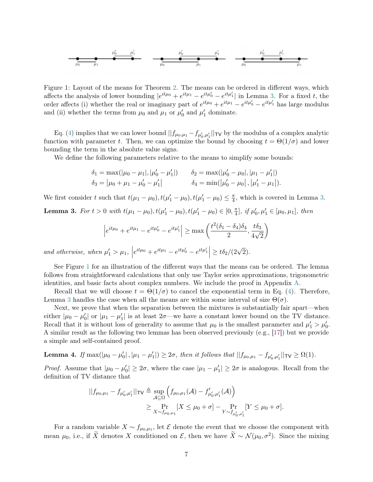$$
\begin{array}{c|cccc}\n & \mu_0' & \mu_1' & \mu_0' & \mu_1' \\
\hline\n\mu_0 & \mu_1 & \mu_0 & \mu_0' & \mu_1\n\end{array}
$$

Figure 1: Layout of the means for Theorem [2.](#page-2-1) The means can be ordered in different ways, which affects the analysis of lower bounding  $|e^{it\mu_0} + e^{it\mu_1} - e^{it\mu_0'} - e^{it\mu_1'}|$  in Lemma [3.](#page-6-0) For a fixed t, the order affects (i) whether the real or imaginary part of  $e^{it\mu_0} + e^{it\mu_1} - e^{it\mu_0} - e^{it\mu_1}$  has large modulus and (ii) whether the terms from  $\mu_0$  and  $\mu_1$  or  $\mu'_0$  and  $\mu'_1$  dominate.

Eq. [\(4\)](#page-5-2) implies that we can lower bound  $||f_{\mu_0,\mu_1} - f_{\mu'_0,\mu'_1}||_{TV}$  by the modulus of a complex analytic function with parameter t. Then, we can optimize the bound by choosing  $t = \Theta(1/\sigma)$  and lower bounding the term in the absolute value signs.

We define the following parameters relative to the means to simplify some bounds:

<span id="page-6-1"></span>
$$
\delta_1 = \max(|\mu_0 - \mu_1|, |\mu'_0 - \mu'_1|) \qquad \delta_2 = \max(|\mu'_0 - \mu_0|, |\mu_1 - \mu'_1|)
$$
  

$$
\delta_3 = |\mu_0 + \mu_1 - \mu'_0 - \mu'_1| \qquad \qquad \delta_4 = \min(|\mu'_0 - \mu_0|, |\mu'_1 - \mu_1|).
$$

We first consider t such that  $t(\mu_1 - \mu_0), t(\mu'_1 - \mu_0), t(\mu'_1 - \mu_0) \leq \frac{\pi}{4}$  $\frac{\pi}{4}$ , which is covered in Lemma [3.](#page-6-0)

<span id="page-6-0"></span>**Lemma 3.** For  $t > 0$  with  $t(\mu_1 - \mu_0), t(\mu'_1 - \mu_0), t(\mu'_1 - \mu_0) \in [0, \frac{\pi}{4}]$  $\frac{\pi}{4}$ , if  $\mu'_0, \mu'_1 \in [\mu_0, \mu_1]$ , then

$$
\left| e^{it\mu_0} + e^{it\mu_1} - e^{it\mu'_0} - e^{it\mu'_1} \right| \ge \max\left( \frac{t^2(\delta_1 - \delta_4)\delta_4}{2}, \frac{t\delta_3}{4\sqrt{2}} \right)
$$

and otherwise, when  $\mu'_1 > \mu_1$ ,  $\Big|$  $e^{it\mu_0} + e^{it\mu_1} - e^{it\mu'_0} - e^{it\mu'_1}$  $\geq t\delta_2/(2\sqrt{2})$ 2).

See Figure [1](#page-6-1) for an illustration of the different ways that the means can be ordered. The lemma follows from straightforward calculations that only use Taylor series approximations, trigonometric identities, and basic facts about complex numbers. We include the proof in Appendix [A.](#page-14-14)

Recall that we will choose  $t = \Theta(1/\sigma)$  to cancel the exponential term in Eq. [\(4\)](#page-5-2). Therefore, Lemma [3](#page-6-0) handles the case when all the means are within some interval of size  $\Theta(\sigma)$ .

Next, we prove that when the separation between the mixtures is substantially fair apart—when either  $|\mu_0 - \mu'_0|$  or  $|\mu_1 - \mu'_1|$  is at least  $2\sigma$ —we have a constant lower bound on the TV distance. Recall that it is without loss of generality to assume that  $\mu_0$  is the smallest parameter and  $\mu'_1 > \mu'_0$ . A similar result as the following two lemmas has been observed previously (e.g., [\[17\]](#page-13-16)) but we provide a simple and self-contained proof.

<span id="page-6-2"></span>Lemma 4. If  $\max(|\mu_0 - \mu'_0|, |\mu_1 - \mu'_1|) \ge 2\sigma$ , then it follows that  $||f_{\mu_0, \mu_1} - f_{\mu'_0, \mu'_1}||_{\mathsf{TV}} \ge \Omega(1)$ .

*Proof.* Assume that  $|\mu_0 - \mu_0'| \geq 2\sigma$ , where the case  $|\mu_1 - \mu_1'| \geq 2\sigma$  is analogous. Recall from the definition of TV distance that

$$
||f_{\mu_0,\mu_1} - f_{\mu'_0,\mu'_1}||_{\mathsf{TV}} \triangleq \sup_{\mathcal{A} \subseteq \Omega} \left( f_{\mu_0,\mu_1}(\mathcal{A}) - f'_{\mu'_0,\mu'_1}(\mathcal{A}) \right)
$$
  

$$
\geq \Pr_{X \sim f_{\mu_0,\mu_1}} [X \leq \mu_0 + \sigma] - \Pr_{Y \sim f_{\mu'_0,\mu'_1}} [Y \leq \mu_0 + \sigma].
$$

For a random variable  $X \sim f_{\mu_0,\mu_1}$ , let  $\mathcal E$  denote the event that we choose the component with mean  $\mu_0$ , i.e., if  $\widetilde{X}$  denotes X conditioned on  $\mathcal{E}$ , then we have  $\widetilde{X} \sim \mathcal{N}(\mu_0, \sigma^2)$ . Since the mixing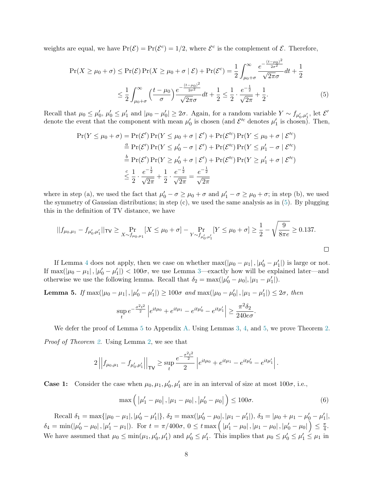weights are equal, we have  $Pr(\mathcal{E}) = Pr(\mathcal{E}^c) = 1/2$ , where  $\mathcal{E}^c$  is the complement of  $\mathcal{E}$ . Therefore,

$$
\Pr(X \ge \mu_0 + \sigma) \le \Pr(\mathcal{E}) \Pr(X \ge \mu_0 + \sigma \mid \mathcal{E}) + \Pr(\mathcal{E}^c) = \frac{1}{2} \int_{\mu_0 + \sigma}^{\infty} \frac{e^{-\frac{(t - \mu_0)^2}{2\sigma^2}}}{\sqrt{2\pi}\sigma} dt + \frac{1}{2}
$$

$$
\le \frac{1}{2} \int_{\mu_0 + \sigma}^{\infty} \left(\frac{t - \mu_0}{\sigma}\right) \frac{e^{-\frac{(t - \mu_0)^2}{2\sigma^2}}}{\sqrt{2\pi}\sigma} dt + \frac{1}{2} \le \frac{1}{2} \cdot \frac{e^{-\frac{1}{2}}}{\sqrt{2\pi}} + \frac{1}{2}.
$$
(5)

Recall that  $\mu_0 \le \mu'_0$ ,  $\mu'_0 \le \mu'_1$  and  $|\mu_0 - \mu'_0| \ge 2\sigma$ . Again, for a random variable  $Y \sim f_{\mu'_0, \mu'_1}$ , let  $\mathcal{E}'$ denote the event that the component with mean  $\mu'_0$  is chosen (and  $\mathcal{E}'^c$  denotes  $\mu'_1$  is chosen). Then,

$$
\Pr(Y \le \mu_0 + \sigma) = \Pr(\mathcal{E}') \Pr(Y \le \mu_0 + \sigma \mid \mathcal{E}') + \Pr(\mathcal{E}'^c) \Pr(Y \le \mu_0 + \sigma \mid \mathcal{E}'^c)
$$
  
\n
$$
\stackrel{a}{=} \Pr(\mathcal{E}') \Pr(Y \le \mu'_0 - \sigma \mid \mathcal{E}') + \Pr(\mathcal{E}'^c) \Pr(Y \le \mu'_1 - \sigma \mid \mathcal{E}'^c)
$$
  
\n
$$
\stackrel{b}{=} \Pr(\mathcal{E}') \Pr(Y \ge \mu'_0 + \sigma \mid \mathcal{E}') + \Pr(\mathcal{E}'^c) \Pr(Y \ge \mu'_1 + \sigma \mid \mathcal{E}'^c)
$$
  
\n
$$
\stackrel{c}{\leq} \frac{1}{2} \cdot \frac{e^{-\frac{1}{2}}}{\sqrt{2\pi}} + \frac{1}{2} \cdot \frac{e^{-\frac{1}{2}}}{\sqrt{2\pi}} = \frac{e^{-\frac{1}{2}}}{\sqrt{2\pi}}
$$

where in step (a), we used the fact that  $\mu'_0 - \sigma \ge \mu_0 + \sigma$  and  $\mu'_1 - \sigma \ge \mu_0 + \sigma$ ; in step (b), we used the symmetry of Gaussian distributions; in step  $(c)$ , we used the same analysis as in  $(5)$ . By plugging this in the definition of TV distance, we have

$$
||f_{\mu_0,\mu_1} - f_{\mu'_0,\mu'_1}||_{\mathsf{TV}} \ge \Pr_{X \sim f_{\mu_0,\mu_1}}[X \le \mu_0 + \sigma] - \Pr_{Y \sim f_{\mu'_0,\mu'_1}}[Y \le \mu_0 + \sigma] \ge \frac{1}{2} - \sqrt{\frac{9}{8\pi e}} \ge 0.137.
$$

If Lemma [4](#page-6-2) does not apply, then we case on whether  $\max(|\mu_0 - \mu_1|, |\mu'_0 - \mu'_1|)$  is large or not. If  $\max(|\mu_0 - \mu_1|, |\mu'_0 - \mu'_1|) < 100\sigma$ , we use Lemma [3—](#page-6-0)exactly how will be explained later—and otherwise we use the following lemma. Recall that  $\delta_2 = \max(|\mu'_0 - \mu_0|, |\mu_1 - \mu'_1|)$ .

<span id="page-7-1"></span>Lemma 5. If  $\max(|\mu_0 - \mu_1|, |\mu'_0 - \mu'_1|) \ge 100\sigma$  and  $\max(|\mu_0 - \mu'_0|, |\mu_1 - \mu'_1|) \le 2\sigma$ , then

$$
\sup_{t} e^{-\frac{\sigma^2 t^2}{2}} \left| e^{it\mu_0} + e^{it\mu_1} - e^{it\mu'_0} - e^{it\mu'_1} \right| \ge \frac{\pi^2 \delta_2}{240 e \sigma}
$$

We defer the proof of Lemma [5](#page-7-1) to Appendix [A.](#page-14-14) Using Lemmas [3,](#page-6-0) [4,](#page-6-2) and [5,](#page-7-1) we prove Theorem [2.](#page-2-1) Proof of Theorem [2.](#page-2-1) Using Lemma [2,](#page-4-0) we see that

$$
2\left|\left|f_{\mu_0,\mu_1}-f_{\mu'_0,\mu'_1}\right|\right|_{\mathsf{TV}} \geq \sup_t \frac{e^{-\frac{\sigma^2t^2}{2}}}{2}\left|e^{it\mu_0}+e^{it\mu_1}-e^{it\mu'_0}-e^{it\mu'_1}\right|.
$$

**Case 1:** Consider the case when  $\mu_0, \mu_1, \mu'_0, \mu'_1$  are in an interval of size at most  $100\sigma$ , i.e.,

$$
\max\left(|\mu'_1 - \mu_0|, |\mu_1 - \mu_0|, |\mu'_0 - \mu_0|\right) \le 100\sigma. \tag{6}
$$

<span id="page-7-2"></span><span id="page-7-0"></span>.

Recall  $\delta_1 = \max\{|\mu_0 - \mu_1|, |\mu'_0 - \mu'_1|\}, \delta_2 = \max(|\mu'_0 - \mu_0|, |\mu_1 - \mu'_1|), \delta_3 = |\mu_0 + \mu_1 - \mu'_0 - \mu'_1|,$  $\delta_4=\min(|\mu_0'-\mu_0| \,, |\mu_1'-\mu_1|). \ \ \text{For} \ \ t=\pi/400\sigma, \ 0\leq t \max\left(\left.|\mu_1'-\mu_0| \,, |\mu_1-\mu_0| \,, |\mu_0'-\mu_0| \,\right)\right)\leq \frac{\pi}{4}$  $\frac{\pi}{4}$ . We have assumed that  $\mu_0 \le \min(\mu_1, \mu'_0, \mu'_1)$  and  $\mu'_0 \le \mu'_1$ . This implies that  $\mu_0 \le \mu'_0 \le \mu'_1 \le \mu_1$  in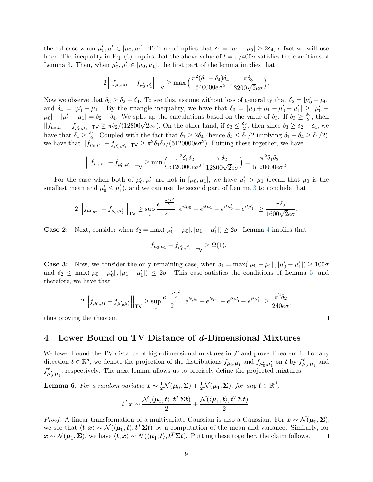the subcase when  $\mu'_0, \mu'_1 \in [\mu_0, \mu_1]$ . This also implies that  $\delta_1 = |\mu_1 - \mu_0| \ge 2\delta_4$ , a fact we will use later. The inequality in Eq. [\(6\)](#page-7-2) implies that the above value of  $t = \pi/400\sigma$  satisfies the conditions of Lemma [3.](#page-6-0) Then, when  $\mu'_0, \mu'_1 \in [\mu_0, \mu_1]$ , the first part of the lemma implies that

$$
2\left|\left|f_{\mu_0,\mu_1} - f_{\mu'_0,\mu'_1}\right|\right|_{\mathsf{TV}} \ge \max\left(\frac{\pi^2(\delta_1-\delta_4)\delta_4}{640000e\sigma^2}, \frac{\pi\delta_3}{3200\sqrt{2}e\sigma}\right)
$$

.

Now we observe that  $\delta_3 \ge \delta_2 - \delta_4$ . To see this, assume without loss of generality that  $\delta_2 = |\mu'_0 - \mu_0|$ and  $\delta_4 = |\mu'_1 - \mu_1|$ . By the triangle inequality, we have that  $\delta_3 = |\mu_0 + \mu_1 - \mu'_0 - \mu'_1| \geq |\mu'_0 - \mu'_1|$  $\mu_0$  –  $|\mu'_1 - \mu_1| = \delta_2 - \delta_4$ . We split up the calculations based on the value of  $\delta_3$ . If  $\delta_3 \ge \frac{\delta_2}{2}$ , then  $|\mu_0| = |\mu_1 - \mu_1| = \sigma_2 - \sigma_4$ . We spin up the calculations based on the value of  $\sigma_3$ . If  $\sigma_3 \leq \frac{\sigma_2}{2}$ , then  $||f_{\mu_0,\mu_1} - f_{\mu'_0,\mu'_1}||_{TV} \geq \pi \delta_2/(12800\sqrt{2}e\sigma)$ . On the other hand, if  $\delta_3 \leq \frac{\delta_2}{2}$ , then si have that  $\delta_4 \geq \frac{\delta_2}{2}$ . Coupled with the fact that  $\delta_1 \geq 2\delta_4$  (hence  $\delta_4 \leq \delta_1/2$  implying  $\delta_1 - \delta_4 \geq \delta_1/2$ ), we have that  $||f_{\mu_0,\mu_1} - f_{\mu'_0,\mu'_1}||_{\mathsf{TV}} \ge \pi^2 \delta_1 \delta_2/(5120000 e \sigma^2)$ . Putting these together, we have

$$
\left| \left| f_{\mu_0, \mu_1} - f_{\mu'_0, \mu'_1} \right| \right|_{\mathsf{TV}} \ge \min \left( \frac{\pi^2 \delta_1 \delta_2}{5120000 \epsilon \sigma^2}, \frac{\pi \delta_2}{12800 \sqrt{2} \epsilon \sigma} \right) = \frac{\pi^2 \delta_1 \delta_2}{5120000 \epsilon \sigma^2}
$$

For the case when both of  $\mu'_0, \mu'_1$  are not in  $[\mu_0, \mu_1]$ , we have  $\mu'_1 > \mu_1$  (recall that  $\mu_0$  is the smallest mean and  $\mu'_0 \leq \mu'_1$ , and we can use the second part of Lemma [3](#page-6-0) to conclude that

$$
2\left|\left|f_{\mu_0,\mu_1}-f_{\mu'_0,\mu'_1}\right|\right|_{\mathsf{TV}} \geq \sup_t \frac{e^{-\frac{\sigma^2t^2}{2}}}{2}\left|e^{it\mu_0}+e^{it\mu_1}-e^{it\mu'_0}-e^{it\mu'_1}\right| \geq \frac{\pi\delta_2}{1600\sqrt{2}e\sigma}.
$$

**Case 2:** Next, consider when  $\delta_2 = \max(|\mu'_0 - \mu_0|, |\mu_1 - \mu'_1|) \ge 2\sigma$ . Lemma [4](#page-6-2) implies that

$$
\left| \left| f_{\mu_0, \mu_1} - f_{\mu'_0, \mu'_1} \right| \right|_{\mathsf{TV}} \ge \Omega(1).
$$

**Case 3:** Now, we consider the only remaining case, when  $\delta_1 = \max(|\mu_0 - \mu_1|, |\mu'_0 - \mu'_1|) \ge 100\sigma$ and  $\delta_2 \leq \max(|\mu_0 - \mu'_0|, |\mu_1 - \mu'_1|) \leq 2\sigma$ . This case satisfies the conditions of Lemma [5,](#page-7-1) and therefore, we have that

$$
2\left|\left|f_{\mu_0,\mu_1}-f_{\mu'_0,\mu'_1}\right|\right|_{\mathsf{TV}} \geq \sup_t \frac{e^{-\frac{\sigma^2t^2}{2}}}{2}\left|e^{it\mu_0}+e^{it\mu_1}-e^{it\mu'_0}-e^{it\mu'_1}\right| \geq \frac{\pi^2\delta_2}{240e\sigma},
$$

thus proving the theorem.

# <span id="page-8-0"></span>4 Lower Bound on TV Distance of d-Dimensional Mixtures

We lower bound the TV distance of high-dimensional mixtures in  $\mathcal F$  and prove Theorem [1.](#page-1-0) For any direction  $t \in \mathbb{R}^d$ , we denote the projection of the distributions  $f_{\mu_0,\mu_1}$  and  $f_{\mu'_0,\mu'_1}$  on  $t$  by  $f_{\mu_0,\mu_1}^t$  and  $f_{\mu'_0,\mu'_1}^t$ , respectively. The next lemma allows us to precisely define the projected mixtures.

<span id="page-8-1"></span>**Lemma 6.** For a random variable  $\mathbf{x} \sim \frac{1}{2} \mathcal{N}(\boldsymbol{\mu}_0, \boldsymbol{\Sigma}) + \frac{1}{2} \mathcal{N}(\boldsymbol{\mu}_1, \boldsymbol{\Sigma})$ , for any  $\mathbf{t} \in \mathbb{R}^d$ ,

$$
\boldsymbol t^T\boldsymbol x\sim\frac{\mathcal{N}(\langle{\boldsymbol \mu}_0,{\boldsymbol t}\rangle,{\boldsymbol t}^T\boldsymbol{\Sigma}{\boldsymbol t})}{2}+\frac{\mathcal{N}(\langle{\boldsymbol \mu}_1,{\boldsymbol t}\rangle,{\boldsymbol t}^T\boldsymbol{\Sigma}{\boldsymbol t})}{2}.
$$

*Proof.* A linear transformation of a multivariate Gaussian is also a Gaussian. For  $x \sim \mathcal{N}(\mu_0, \Sigma)$ , we see that  $\langle t, x \rangle \sim \mathcal{N}(\langle \mu_0, t \rangle, t^T \Sigma t)$  by a computation of the mean and variance. Similarly, for  $\mathbf{x} \sim \mathcal{N}(\mu_1, \Sigma)$ , we have  $\langle \mathbf{t}, \mathbf{x} \rangle \sim \mathcal{N}(\langle \mu_1, \mathbf{t} \rangle, \mathbf{t}^T \Sigma \mathbf{t})$ . Putting these together, the claim follows.  $\Box$ 

 $\Box$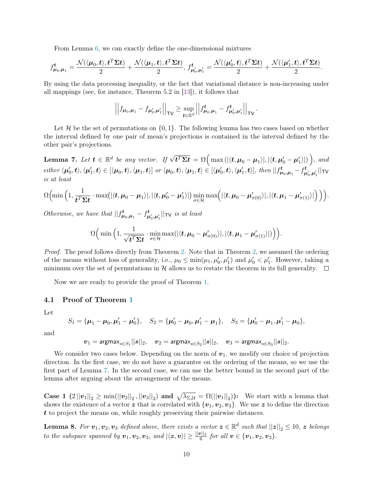From Lemma [6,](#page-8-1) we can exactly define the one-dimensional mixtures

$$
f^{\boldsymbol{t}}_{\boldsymbol{\mu}_0,\boldsymbol{\mu}_1}=\frac{\mathcal{N}(\langle \boldsymbol{\mu}_0, \boldsymbol{t} \rangle, \boldsymbol{t}^T\boldsymbol{\Sigma} \boldsymbol{t})}{2}+\frac{\mathcal{N}(\langle \boldsymbol{\mu}_1, \boldsymbol{t} \rangle, \boldsymbol{t}^T\boldsymbol{\Sigma} \boldsymbol{t})}{2},~f^{\boldsymbol{t}}_{\boldsymbol{\mu}_0',\boldsymbol{\mu}_1'}=\frac{\mathcal{N}(\langle \boldsymbol{\mu}_0', \boldsymbol{t} \rangle, \boldsymbol{t}^T\boldsymbol{\Sigma} \boldsymbol{t})}{2}+\frac{\mathcal{N}(\langle \boldsymbol{\mu}_1', \boldsymbol{t} \rangle, \boldsymbol{t}^T\boldsymbol{\Sigma} \boldsymbol{t})}{2}.
$$

By using the data processing inequality, or the fact that variational distance is non-increasing under all mappings (see, for instance, Theorem 5.2 in [\[13\]](#page-13-3)), it follows that

$$
\left|\left|f_{\mu_0,\mu_1} - f_{\mu'_0,\mu'_1}\right|\right|_{\sf{TV}} \geq \sup_{\boldsymbol{t}\in\mathbb{R}^d} \left|\left|f_{\mu_0,\mu_1}^{\boldsymbol{t}} - f_{\mu'_0,\mu'_1}^{\boldsymbol{t}}\right|\right|_{\sf{TV}}.
$$

Let H be the set of permutations on  $\{0,1\}$ . The following lemma has two cases based on whether the interval defined by one pair of mean's projections is contained in the interval defined by the other pair's projections.

<span id="page-9-0"></span>Lemma 7. Let  $t \in \mathbb{R}^d$  be any vector. If  $\sqrt{t^T \Sigma t} = \Omega\left(\max\left(|\langle t, \mu_0 - \mu_1 \rangle|, |\langle t, \mu_0' - \mu_1' \rangle|\right)\right)$ , and  $\mathit{either} \ \langle \boldsymbol{\mu}'_0, \boldsymbol{t} \rangle, \langle \boldsymbol{\mu}'_1, \boldsymbol{t} \rangle \in [\langle \boldsymbol{\mu}_0, \boldsymbol{t} \rangle, \langle \boldsymbol{\mu}_1, \boldsymbol{t} \rangle] \ \ or \ \langle \boldsymbol{\mu}_0, \boldsymbol{t} \rangle, \langle \boldsymbol{\mu}_1, \boldsymbol{t} \rangle \in [\langle \boldsymbol{\mu}'_0, \boldsymbol{t} \rangle, \langle \boldsymbol{\mu}'_1, \boldsymbol{t} \rangle], \ \mathit{then} \ || f^{\boldsymbol{t}}_{\boldsymbol{\mu}_0, \boldsymbol{\mu}_1} - f^{\boldsymbol{t}}_{\boldsymbol{\mu}'_$ is at least

$$
\Omega\Big(\!\min\Big(1,\frac{1}{\boldsymbol{t}^T\boldsymbol{\Sigma}\boldsymbol{t}}\cdot\max\!\big(|\langle \boldsymbol{t}, \boldsymbol{\mu}_0-\boldsymbol{\mu}_1\rangle|,|\langle \boldsymbol{t}, \boldsymbol{\mu}_0'-\boldsymbol{\mu}_1'\rangle|\big)\min_{\sigma\in\mathcal{H}}\max\!\Big(|\langle \boldsymbol{t}, \boldsymbol{\mu}_0-\boldsymbol{\mu}_{\sigma(0)}'\rangle|,|\langle \boldsymbol{t}, \boldsymbol{\mu}_1-\boldsymbol{\mu}_{\sigma(1)}'\rangle|\Big)\Big)\Big).
$$

Otherwise, we have that  $||f^{\textbf{t}}_{\mu_0,\mu_1} - f^{\textbf{t}}_{\mu'_0,\mu'_1}||_{\text{TV}}$  is at least

$$
\Omega\Big(\min\Big(1,\frac{1}{\sqrt{t^T\mathbf{\Sigma}t}}\cdot\min_{\sigma\in\mathcal{H}}\max(|\langle\boldsymbol{t},\boldsymbol{\mu}_0-\boldsymbol{\mu}_{\sigma(0)}'\rangle|,|\langle\boldsymbol{t},\boldsymbol{\mu}_1-\boldsymbol{\mu}_{\sigma(1)}'\rangle|)\Big)\Big).
$$

Proof. The proof follows directly from Theorem [2.](#page-2-1) Note that in Theorem [2,](#page-2-1) we assumed the ordering of the means without loss of generality, i.e.,  $\mu_0 \leq \min(\mu_1, \mu'_0, \mu'_1)$  and  $\mu'_0 < \mu'_1$ . However, taking a minimum over the set of permutations in  $\mathcal H$  allows us to restate the theorem in its full generality.  $\Box$ 

Now we are ready to provide the proof of Theorem [1.](#page-1-0)

## 4.1 Proof of Theorem [1](#page-1-0)

Let

$$
S_1 = {\mu_1 - \mu_0, \mu'_1 - \mu'_0}, \quad S_2 = {\mu'_0 - \mu_0, \mu'_1 - \mu_1}, \quad S_3 = {\mu'_0 - \mu_1, \mu'_1 - \mu_0},
$$

and

$$
\boldsymbol{v}_1 = \text{argmax}_{s \in S_1} ||\boldsymbol{s}||_2, \quad \boldsymbol{v}_2 = \text{argmax}_{s \in S_2} ||\boldsymbol{s}||_2, \quad \boldsymbol{v}_3 = \text{argmax}_{s \in S_3} ||\boldsymbol{s}||_2.
$$

We consider two cases below. Depending on the norm of  $v_1$ , we modify our choice of projection direction. In the first case, we do not have a guarantee on the ordering of the means, so we use the first part of Lemma [7.](#page-9-0) In the second case, we can use the better bound in the second part of the lemma after arguing about the arrangement of the means.

Case 1  $(2||v_1||_2 \ge \min(||v_2||_2, ||v_3||_2)$  and  $\sqrt{\lambda_{\Sigma,\mathcal{U}}} = \Omega(||v_1||_2)$ ): We start with a lemma that shows the existence of a vector z that is correlated with  $\{v_1, v_2, v_3\}$ . We use z to define the direction t to project the means on, while roughly preserving their pairwise distances.

<span id="page-9-1"></span>**Lemma 8.** For  $v_1, v_2, v_3$  defined above, there exists a vector  $\boldsymbol{z} \in \mathbb{R}^d$  such that  $||\boldsymbol{z}||_2 \leq 10$ ,  $\boldsymbol{z}$  belongs to the subspace spanned by  $\mathbf{v}_1, \mathbf{v}_2, \mathbf{v}_3$ , and  $|\langle \mathbf{z}, \mathbf{v} \rangle| \geq \frac{||\mathbf{v}||_2}{6}$  for all  $\mathbf{v} \in {\mathbf{v}_1, \mathbf{v}_2, \mathbf{v}_3}.$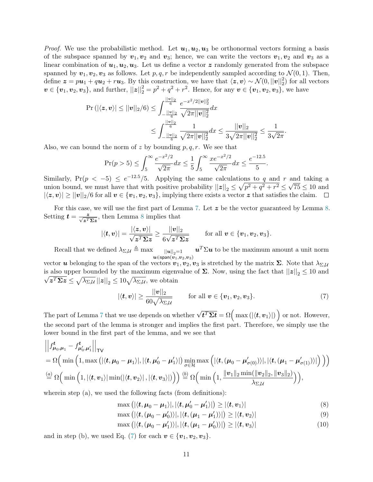*Proof.* We use the probabilistic method. Let  $u_1, u_2, u_3$  be orthonormal vectors forming a basis of the subspace spanned by  $v_1, v_2$  and  $v_3$ ; hence, we can write the vectors  $v_1, v_2$  and  $v_3$  as a linear combination of  $u_1, u_2, u_3$ . Let us define a vector z randomly generated from the subspace spanned by  $v_1, v_2, v_3$  as follows. Let  $p, q, r$  be independently sampled according to  $\mathcal{N}(0, 1)$ . Then, define  $\boldsymbol{z} = p\boldsymbol{u}_1 + q\boldsymbol{u}_2 + r\boldsymbol{u}_3$ . By this construction, we have that  $\langle \boldsymbol{z}, \boldsymbol{v} \rangle \sim \mathcal{N}(0, ||\boldsymbol{v}||_2^2)$  for all vectors  $v \in \{v_1, v_2, v_3\}$ , and further,  $||z||_2^2 = p^2 + q^2 + r^2$ . Hence, for any  $v \in \{v_1, v_2, v_3\}$ , we have

$$
\Pr\left(\left|\langle \mathbf{z}, \mathbf{v}\rangle\right| \leq ||\mathbf{v}||_2/6\right) \leq \int_{-\frac{||\mathbf{v}||_2}{6}}^{\frac{||\mathbf{v}||_2}{6}} \frac{e^{-x^2/2||\mathbf{v}||_2^2}}{\sqrt{2\pi ||\mathbf{v}||_2^2}} dx
$$

$$
\leq \int_{-\frac{||\mathbf{v}||_2}{6}}^{\frac{||\mathbf{v}||_2}{6}} \frac{1}{\sqrt{2\pi ||\mathbf{v}||_2^2}} dx \leq \frac{||\mathbf{v}||_2}{3\sqrt{2\pi ||\mathbf{v}||_2^2}} \leq \frac{1}{3\sqrt{2\pi}}.
$$

Also, we can bound the norm of z by bounding  $p, q, r$ . We see that

$$
\Pr(p > 5) \le \int_5^\infty \frac{e^{-x^2/2}}{\sqrt{2\pi}} dx \le \frac{1}{5} \int_5^\infty \frac{xe^{-x^2/2}}{\sqrt{2\pi}} dx \le \frac{e^{-12.5}}{5}.
$$

Similarly,  $Pr(p < -5) \leq e^{-12.5} / 5$ . Applying the same calculations to q and r and taking a union bound, we must have that with positive probability  $||z||_2 \leq \sqrt{p^2 + q^2 + r^2} \leq \sqrt{75} \leq 10$  and  $|\langle z, v \rangle| \ge ||v||_2/6$  for all  $v \in \{v_1, v_2, v_3\}$ , implying there exists a vector z that satisfies the claim.  $\square$ 

For this case, we will use the first part of Lemma [7.](#page-9-0) Let  $z$  be the vector guaranteed by Lemma [8.](#page-9-1) Setting  $t = \frac{z}{\sqrt{z^T \Sigma z}}$ , then Lemma [8](#page-9-1) implies that

$$
|\langle \mathbf{t}, \mathbf{v} \rangle| = \frac{|\langle \mathbf{z}, \mathbf{v} \rangle|}{\sqrt{\mathbf{z}^T \mathbf{\Sigma} \mathbf{z}}} \ge \frac{||\mathbf{v}||_2}{6\sqrt{\mathbf{z}^T \mathbf{\Sigma} \mathbf{z}}} \quad \text{for all } \mathbf{v} \in {\mathbf{v}_1, \mathbf{v}_2, \mathbf{v}_3}.
$$

Recall that we defined  $\lambda_{\Sigma,\mathcal U}\triangleq\max$  $u \in$ span $(v_1,v_2,v_3)$  $\bm{u}^T \Sigma \bm{u}$  to be the maximum amount a unit norm vector **u** belonging to the span of the vectors  $\hat{\mathbf{v}_1}, \hat{\mathbf{v}_2}, \hat{\mathbf{v}_3}$  is stretched by the matrix  $\Sigma$ . Note that  $\lambda_{\Sigma, \mathcal{U}}$ is also upper bounded by the maximum eigenvalue of  $\Sigma$ . Now, using the fact that  $||z||_2 \le 10$  and  $|z^T \Sigma z \leq \sqrt{\lambda_{\Sigma,\mathcal{U}}} ||z||_2 \leq 10 \sqrt{\lambda_{\Sigma,\mathcal{U}}},$  we obtain

<span id="page-10-0"></span>
$$
|\langle \mathbf{t}, \mathbf{v} \rangle| \ge \frac{||\mathbf{v}||_2}{60\sqrt{\lambda_{\Sigma,\mathcal{U}}}}
$$
 for all  $\mathbf{v} \in {\mathbf{v}_1, \mathbf{v}_2, \mathbf{v}_3}$ . (7)

The part of Lemma [7](#page-9-0) that we use depends on whether  $\sqrt{t^T \Sigma t} = \Omega\left(\max\left(\left|\langle \boldsymbol{t}, \boldsymbol{v}_1 \rangle\right|\right)\right)$  or not. However, the second part of the lemma is stronger and implies the first part. Therefore, we simply use the lower bound in the first part of the lemma, and we see that

$$
\left\|f_{\mu_0,\mu_1}^t - f_{\mu'_0,\mu'_1}^t\right\|_{\text{TV}}\n= \Omega\Big(\min\Big(1,\max\big(|\langle \boldsymbol{t}, \mu_0 - \mu_1 \rangle|, |\langle \boldsymbol{t}, \mu'_0 - \mu'_1 \rangle| \big) \min_{\sigma \in \mathcal{H}} \max\Big(|\langle \boldsymbol{t}, (\mu_0 - \mu'_{\sigma(0)}) \rangle|, |\langle \boldsymbol{t}, (\mu_1 - \mu'_{\sigma(1)}) \rangle| \Big) \Big)\Big)
$$
\n
$$
\stackrel{(a)}{=} \Omega\Big(\min\Big(1, |\langle \boldsymbol{t}, \boldsymbol{v}_1 \rangle| \min(|\langle \boldsymbol{t}, \boldsymbol{v}_2 \rangle|, |\langle \boldsymbol{t}, \boldsymbol{v}_3 \rangle| \big) \Big)\Big) \stackrel{(b)}{=} \Omega\Big(\min\Big(1, \frac{\|\boldsymbol{v}_1\|_2 \min(\|\boldsymbol{v}_2\|_2, \|\boldsymbol{v}_3\|_2)}{\lambda_{\Sigma, \mathcal{U}}}\Big)\Big),
$$

wherein step (a), we used the following facts (from definitions):

$$
\max\left(|\langle \boldsymbol{t}, \boldsymbol{\mu}_0 - \boldsymbol{\mu}_1 \rangle|, |\langle \boldsymbol{t}, \boldsymbol{\mu}_0' - \boldsymbol{\mu}_1' \rangle|\right) \ge |\langle \boldsymbol{t}, \boldsymbol{v}_1 \rangle| \tag{8}
$$

<span id="page-10-1"></span>
$$
\max\left(|\langle \boldsymbol{t}, (\boldsymbol{\mu}_0 - \boldsymbol{\mu}'_0) \rangle|, |\langle \boldsymbol{t}, (\boldsymbol{\mu}_1 - \boldsymbol{\mu}'_1) \rangle|\right) \ge |\langle \boldsymbol{t}, \boldsymbol{v}_2 \rangle| \tag{9}
$$

<span id="page-10-2"></span>
$$
\max\left(|\langle \boldsymbol{t}, (\boldsymbol{\mu}_0 - \boldsymbol{\mu}'_1) \rangle|, |\langle \boldsymbol{t}, (\boldsymbol{\mu}_1 - \boldsymbol{\mu}'_0) \rangle|\right) \ge |\langle \boldsymbol{t}, \boldsymbol{v}_3 \rangle| \tag{10}
$$

and in step (b), we used Eq. [\(7\)](#page-10-0) for each  $v \in \{v_1, v_2, v_3\}$ .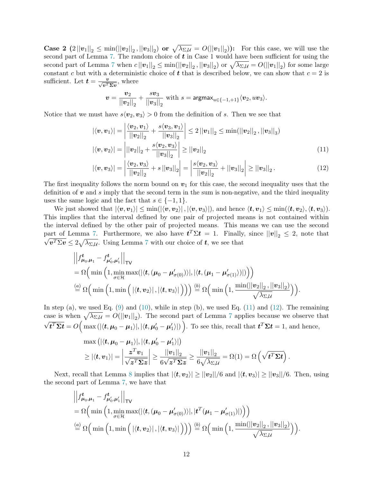Case 2  $(2||v_1||_2 \le \min(||v_2||_2, ||v_3||_2)$  or  $\sqrt{\lambda_{\Sigma,\mathcal{U}}} = O(||v_1||_2)$ ): For this case, we will use the second part of Lemma [7.](#page-9-0) The random choice of  $t$  in Case 1 would have been sufficient for using the second part of Lemma [7](#page-9-0) when  $c||v_1||_2 \le \min(||v_2||_2, ||v_3||_2)$  or  $\sqrt{\lambda_{\Sigma,\mathcal{U}}}=O(||v_1||_2)$  for some large constant c but with a deterministic choice of  $t$  that is described below, we can show that  $c = 2$  is sufficient. Let  $t = \frac{v}{\sqrt{v^T \Sigma v}}$ , where

<span id="page-11-1"></span><span id="page-11-0"></span>
$$
\mathbf{v} = \frac{\mathbf{v}_2}{||\mathbf{v}_2||_2} + \frac{s\mathbf{v}_3}{||\mathbf{v}_3||_2}
$$
 with  $s = \text{argmax}_{u \in \{-1, +1\}} \langle \mathbf{v}_2, u\mathbf{v}_3 \rangle$ .

Notice that we must have  $s\langle v_2, v_3 \rangle > 0$  from the definition of s. Then we see that

$$
\left| \langle v, v_1 \rangle \right| = \left| \frac{\langle v_2, v_1 \rangle}{\left| \left| v_2 \right| \right|_2} + \frac{s \langle v_3, v_1 \rangle}{\left| \left| v_3 \right| \right|_2} \right| \le 2 \left| \left| v_1 \right| \right|_2 \le \min(\left| \left| v_2 \right| \right|_2, \left| \left| v_3 \right| \right|_3)
$$
  

$$
\left| \langle v, v_2 \rangle \right| = \left| \left| \left| v_2 \right| \right|_2 + \frac{s \langle v_2, v_3 \rangle}{\left| \left| v_3 \right| \right|_2} \right| \ge \left| \left| v_2 \right| \right|_2 \tag{11}
$$

$$
|\langle v, v_3 \rangle| = \left| \frac{\langle v_2, v_3 \rangle}{||v_2||_2} + s ||v_3||_2 \right| = \left| \frac{s \langle v_2, v_3 \rangle}{||v_2||_2} + ||v_3||_2 \right| \ge ||v_3||_2.
$$
 (12)

The first inequality follows the norm bound on  $v_1$  for this case, the second inequality uses that the definition of  $\boldsymbol{v}$  and s imply that the second term in the sum is non-negative, and the third inequality uses the same logic and the fact that  $s \in \{-1, 1\}.$ 

We just showed that  $|\langle v, v_1 \rangle| \le \min(|\langle v, v_2 \rangle|, |\langle v, v_3 \rangle|)$ , and hence  $\langle t, v_1 \rangle \le \min(\langle t, v_2 \rangle, \langle t, v_3 \rangle)$ . This implies that the interval defined by one pair of projected means is not contained within the interval defined by the other pair of projected means. This means we can use the second part of Lemma [7.](#page-9-0) Furthermore, we also have  $t^T \Sigma t = 1$ . Finally, since  $||v||_2 \leq 2$ , note that  $v^T \Sigma v \leq 2\sqrt{\lambda_{\Sigma,\mathcal{U}}}$ . Using Lemma [7](#page-9-0) with our choice of  $t$ , we see that

$$
\left\|f_{\mu_0,\mu_1}^t - f_{\mu'_0,\mu'_1}^t\right\|_{\mathsf{TV}}\n= \Omega\Big(\min\Big(1,\min_{\sigma\in\mathcal{H}}\max(|\langle\boldsymbol{t},(\mu_0-\mu'_{\sigma(0)})\rangle|,|\langle\boldsymbol{t},(\mu_1-\mu'_{\sigma(1)})\rangle|\Big)\Big)\n\stackrel{(a)}{=} \Omega\Big(\min\Big(1,\min\Big(|\langle\boldsymbol{t},\boldsymbol{v}_2\rangle|,|\langle\boldsymbol{t},\boldsymbol{v}_3\rangle|\Big)\Big)\Big)\stackrel{(b)}{=} \Omega\Big(\min\Big(1,\frac{\min(||\boldsymbol{v}_2||_2,||\boldsymbol{v}_3||_2)}{\sqrt{\lambda_{\Sigma,\mathcal{U}}}}\Big)\Big).
$$

In step (a), we used Eq.  $(9)$  and  $(10)$ , while in step (b), we used Eq.  $(11)$  and  $(12)$ . The remaining case is when  $\sqrt{\lambda_{\Sigma,\mathcal{U}}} = O(||v_1||_2)$ . The second part of Lemma [7](#page-9-0) applies because we observe that √  $\overline{t^T \Sigma t} = O\Big(\max\left(|\langle t, \mu_0 - \mu_1 \rangle|, |\langle t, \mu_0' - \mu_1' \rangle|\right)\Big)$ . To see this, recall that  $\overline{t^T \Sigma t} = 1$ , and hence,

$$
\max\left(|\langle \boldsymbol{t}, \boldsymbol{\mu}_0 - \boldsymbol{\mu}_1 \rangle|, |\langle \boldsymbol{t}, \boldsymbol{\mu}_0' - \boldsymbol{\mu}_1' \rangle|\right) \geq |\langle \boldsymbol{t}, \boldsymbol{v}_1 \rangle| = \left| \frac{\boldsymbol{z}^T \boldsymbol{v}_1}{\sqrt{\boldsymbol{z}^T \boldsymbol{\Sigma} \boldsymbol{z}}} \right| \geq \frac{||\boldsymbol{v}_1||_2}{6\sqrt{\boldsymbol{z}^T \boldsymbol{\Sigma} \boldsymbol{z}}} \geq \frac{||\boldsymbol{v}_1||_2}{6\sqrt{\lambda_{\Sigma, \mathcal{U}}}} = \Omega(1) = \Omega\left(\sqrt{\boldsymbol{t}^T \boldsymbol{\Sigma} \boldsymbol{t}}\right).
$$

Next, recall that Lemma [8](#page-9-1) implies that  $|\langle t, v_2 \rangle| \ge ||v_2||/6$  and  $|\langle t, v_3 \rangle| \ge ||v_3||/6$ . Then, using the second part of Lemma [7,](#page-9-0) we have that

$$
\left\|f_{\mu_0,\mu_1}^t - f_{\mu'_0,\mu'_1}^t\right\|_{\mathsf{TV}}\n= \Omega\Big(\min\Big(1,\min_{\sigma\in\mathcal{H}}\max(|\langle\boldsymbol{t},(\mu_0-\mu'_{\sigma(0)})\rangle|,|\boldsymbol{t}^T(\mu_1-\mu'_{\sigma(1)})|)\Big)\Big)\n= \Omega\Big(\min\Big(1,\min\Big(|\langle\boldsymbol{t},\boldsymbol{v}_2\rangle|,|\langle\boldsymbol{t},\boldsymbol{v}_3\rangle|\Big)\Big)\Big)\n\stackrel{(b)}{=} \Omega\Big(\min\Big(1,\frac{\min(||\boldsymbol{v}_2||_2,||\boldsymbol{v}_3||_2)}{\sqrt{\lambda_{\Sigma,\mathcal{U}}}}\Big)\Big).
$$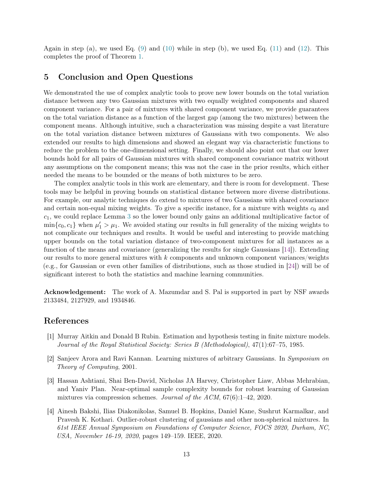Again in step (a), we used Eq.  $(9)$  and  $(10)$  while in step (b), we used Eq.  $(11)$  and  $(12)$ . This completes the proof of Theorem [1.](#page-1-0)

# 5 Conclusion and Open Questions

We demonstrated the use of complex analytic tools to prove new lower bounds on the total variation distance between any two Gaussian mixtures with two equally weighted components and shared component variance. For a pair of mixtures with shared component variance, we provide guarantees on the total variation distance as a function of the largest gap (among the two mixtures) between the component means. Although intuitive, such a characterization was missing despite a vast literature on the total variation distance between mixtures of Gaussians with two components. We also extended our results to high dimensions and showed an elegant way via characteristic functions to reduce the problem to the one-dimensional setting. Finally, we should also point out that our lower bounds hold for all pairs of Gaussian mixtures with shared component covariance matrix without any assumptions on the component means; this was not the case in the prior results, which either needed the means to be bounded or the means of both mixtures to be zero.

The complex analytic tools in this work are elementary, and there is room for development. These tools may be helpful in proving bounds on statistical distance between more diverse distributions. For example, our analytic techniques do extend to mixtures of two Gaussians with shared covariance and certain non-equal mixing weights. To give a specific instance, for a mixture with weights  $c_0$  and  $c_1$ , we could replace Lemma [3](#page-6-0) so the lower bound only gains an additional multiplicative factor of  $\min\{c_0, c_1\}$  when  $\mu'_1 > \mu_1$ . We avoided stating our results in full generality of the mixing weights to not complicate our techniques and results. It would be useful and interesting to provide matching upper bounds on the total variation distance of two-component mixtures for all instances as a function of the means and covariance (generalizing the results for single Gaussians [\[14\]](#page-13-5)). Extending our results to more general mixtures with  $k$  components and unknown component variances/weights (e.g., for Gaussian or even other families of distributions, such as those studied in [\[24\]](#page-14-12)) will be of significant interest to both the statistics and machine learning communities.

Acknowledgement: The work of A. Mazumdar and S. Pal is supported in part by NSF awards 2133484, 2127929, and 1934846.

# References

- <span id="page-12-3"></span>[1] Murray Aitkin and Donald B Rubin. Estimation and hypothesis testing in finite mixture models. Journal of the Royal Statistical Society: Series B (Methodological), 47(1):67–75, 1985.
- <span id="page-12-0"></span>[2] Sanjeev Arora and Ravi Kannan. Learning mixtures of arbitrary Gaussians. In Symposium on Theory of Computing, 2001.
- <span id="page-12-1"></span>[3] Hassan Ashtiani, Shai Ben-David, Nicholas JA Harvey, Christopher Liaw, Abbas Mehrabian, and Yaniv Plan. Near-optimal sample complexity bounds for robust learning of Gaussian mixtures via compression schemes. Journal of the ACM, 67(6):1–42, 2020.
- <span id="page-12-2"></span>[4] Ainesh Bakshi, Ilias Diakonikolas, Samuel B. Hopkins, Daniel Kane, Sushrut Karmalkar, and Pravesh K. Kothari. Outlier-robust clustering of gaussians and other non-spherical mixtures. In 61st IEEE Annual Symposium on Foundations of Computer Science, FOCS 2020, Durham, NC, USA, November 16-19, 2020, pages 149–159. IEEE, 2020.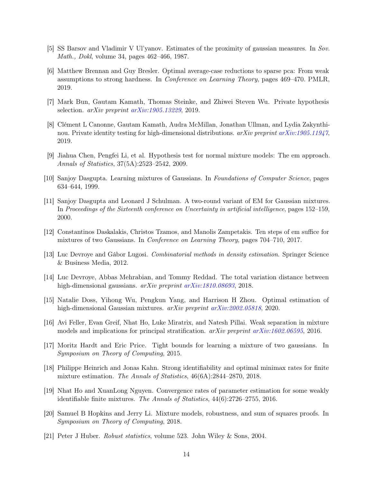- <span id="page-13-4"></span>[5] SS Barsov and Vladimir V Ul'yanov. Estimates of the proximity of gaussian measures. In Sov. Math., Dokl, volume 34, pages 462–466, 1987.
- <span id="page-13-8"></span>[6] Matthew Brennan and Guy Bresler. Optimal average-case reductions to sparse pca: From weak assumptions to strong hardness. In Conference on Learning Theory, pages 469–470. PMLR, 2019.
- <span id="page-13-6"></span>[7] Mark Bun, Gautam Kamath, Thomas Steinke, and Zhiwei Steven Wu. Private hypothesis selection.  $arXiv$  preprint  $arXiv:1905.13229$ , 2019.
- <span id="page-13-7"></span>[8] Clément L Canonne, Gautam Kamath, Audra McMillan, Jonathan Ullman, and Lydia Zakynthinou. Private identity testing for high-dimensional distributions. arXiv preprint [arXiv:1905.11947](http://arxiv.org/abs/1905.11947), 2019.
- <span id="page-13-10"></span>[9] Jiahua Chen, Pengfei Li, et al. Hypothesis test for normal mixture models: The em approach. Annals of Statistics, 37(5A):2523–2542, 2009.
- <span id="page-13-0"></span>[10] Sanjoy Dasgupta. Learning mixtures of Gaussians. In Foundations of Computer Science, pages 634–644, 1999.
- <span id="page-13-1"></span>[11] Sanjoy Dasgupta and Leonard J Schulman. A two-round variant of EM for Gaussian mixtures. In Proceedings of the Sixteenth conference on Uncertainty in artificial intelligence, pages 152–159, 2000.
- <span id="page-13-9"></span>[12] Constantinos Daskalakis, Christos Tzamos, and Manolis Zampetakis. Ten steps of em suffice for mixtures of two Gaussians. In Conference on Learning Theory, pages 704–710, 2017.
- <span id="page-13-3"></span>[13] Luc Devroye and Gábor Lugosi. Combinatorial methods in density estimation. Springer Science & Business Media, 2012.
- <span id="page-13-5"></span>[14] Luc Devroye, Abbas Mehrabian, and Tommy Reddad. The total variation distance between high-dimensional gaussians. *arXiv preprint [arXiv:1810.08693](http://arxiv.org/abs/1810.08693)*, 2018.
- <span id="page-13-12"></span>[15] Natalie Doss, Yihong Wu, Pengkun Yang, and Harrison H Zhou. Optimal estimation of high-dimensional Gaussian mixtures. arXiv preprint [arXiv:2002.05818](http://arxiv.org/abs/2002.05818), 2020.
- <span id="page-13-13"></span>[16] Avi Feller, Evan Greif, Nhat Ho, Luke Miratrix, and Natesh Pillai. Weak separation in mixture models and implications for principal stratification.  $arXiv$  preprint  $arXiv:1602.06595$ , 2016.
- <span id="page-13-16"></span>[17] Moritz Hardt and Eric Price. Tight bounds for learning a mixture of two gaussians. In Symposium on Theory of Computing, 2015.
- <span id="page-13-15"></span>[18] Philippe Heinrich and Jonas Kahn. Strong identifiability and optimal minimax rates for finite mixture estimation. The Annals of Statistics, 46(6A):2844–2870, 2018.
- <span id="page-13-14"></span>[19] Nhat Ho and XuanLong Nguyen. Convergence rates of parameter estimation for some weakly identifiable finite mixtures. The Annals of Statistics, 44(6):2726–2755, 2016.
- <span id="page-13-11"></span>[20] Samuel B Hopkins and Jerry Li. Mixture models, robustness, and sum of squares proofs. In Symposium on Theory of Computing, 2018.
- <span id="page-13-2"></span>[21] Peter J Huber. Robust statistics, volume 523. John Wiley & Sons, 2004.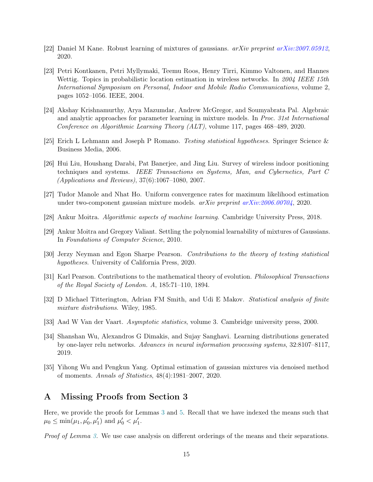- <span id="page-14-0"></span>[22] Daniel M Kane. Robust learning of mixtures of gaussians. arXiv preprint [arXiv:2007.05912](http://arxiv.org/abs/2007.05912), 2020.
- <span id="page-14-9"></span>[23] Petri Kontkanen, Petri Myllymaki, Teemu Roos, Henry Tirri, Kimmo Valtonen, and Hannes Wettig. Topics in probabilistic location estimation in wireless networks. In 2004 IEEE 15th International Symposium on Personal, Indoor and Mobile Radio Communications, volume 2, pages 1052–1056. IEEE, 2004.
- <span id="page-14-12"></span>[24] Akshay Krishnamurthy, Arya Mazumdar, Andrew McGregor, and Soumyabrata Pal. Algebraic and analytic approaches for parameter learning in mixture models. In Proc. 31st International Conference on Algorithmic Learning Theory (ALT), volume 117, pages 468–489, 2020.
- <span id="page-14-5"></span>[25] Erich L Lehmann and Joseph P Romano. Testing statistical hypotheses. Springer Science & Business Media, 2006.
- <span id="page-14-10"></span>[26] Hui Liu, Houshang Darabi, Pat Banerjee, and Jing Liu. Survey of wireless indoor positioning techniques and systems. IEEE Transactions on Systems, Man, and Cybernetics, Part C (Applications and Reviews), 37(6):1067–1080, 2007.
- <span id="page-14-13"></span>[27] Tudor Manole and Nhat Ho. Uniform convergence rates for maximum likelihood estimation under two-component gaussian mixture models.  $arXiv$  preprint  $arXiv:2006.00704$ , 2020.
- <span id="page-14-1"></span>[28] Ankur Moitra. Algorithmic aspects of machine learning. Cambridge University Press, 2018.
- <span id="page-14-2"></span>[29] Ankur Moitra and Gregory Valiant. Settling the polynomial learnability of mixtures of Gaussians. In Foundations of Computer Science, 2010.
- <span id="page-14-6"></span>[30] Jerzy Neyman and Egon Sharpe Pearson. Contributions to the theory of testing statistical hypotheses. University of California Press, 2020.
- <span id="page-14-3"></span>[31] Karl Pearson. Contributions to the mathematical theory of evolution. Philosophical Transactions of the Royal Society of London. A, 185:71–110, 1894.
- <span id="page-14-4"></span>[32] D Michael Titterington, Adrian FM Smith, and Udi E Makov. Statistical analysis of finite mixture distributions. Wiley, 1985.
- <span id="page-14-11"></span>[33] Aad W Van der Vaart. Asymptotic statistics, volume 3. Cambridge university press, 2000.
- <span id="page-14-7"></span>[34] Shanshan Wu, Alexandros G Dimakis, and Sujay Sanghavi. Learning distributions generated by one-layer relu networks. Advances in neural information processing systems, 32:8107–8117, 2019.
- <span id="page-14-8"></span>[35] Yihong Wu and Pengkun Yang. Optimal estimation of gaussian mixtures via denoised method of moments. Annals of Statistics, 48(4):1981–2007, 2020.

# <span id="page-14-14"></span>A Missing Proofs from Section 3

Here, we provide the proofs for Lemmas [3](#page-6-0) and [5.](#page-7-1) Recall that we have indexed the means such that  $\mu_0 \le \min(\mu_1, \mu'_0, \mu'_1)$  and  $\mu'_0 < \mu'_1$ .

Proof of Lemma [3.](#page-6-0) We use case analysis on different orderings of the means and their separations.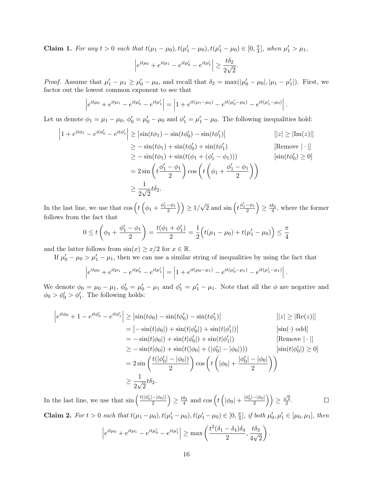Claim 1. For any  $t > 0$  such that  $t(\mu_1 - \mu_0), t(\mu_1' - \mu_0), t(\mu_1' - \mu_0) \in [0, \frac{\pi}{4}]$  $\frac{\pi}{4}$ , when  $\mu'_1 > \mu_1$ ,

$$
\left| e^{it\mu_0} + e^{it\mu_1} - e^{it\mu'_0} - e^{it\mu'_1} \right| \ge \frac{t\delta_2}{2\sqrt{2}}.
$$

*Proof.* Assume that  $\mu'_1 - \mu_1 \ge \mu'_0 - \mu_0$ , and recall that  $\delta_2 = \max(|\mu'_0 - \mu_0|, |\mu_1 - \mu'_1|)$ . First, we factor out the lowest common exponent to see that

$$
\left|e^{it\mu_0} + e^{it\mu_1} - e^{it\mu_0'} - e^{it\mu_1'}\right| = \left|1 + e^{it(\mu_1 - \mu_0)} - e^{it(\mu_0' - \mu_0)} - e^{it(\mu_1' - \mu_0)}\right|.
$$

Let us denote  $\phi_1 = \mu_1 - \mu_0$ ,  $\phi'_0 = \mu'_0 - \mu_0$  and  $\phi'_1 = \mu'_1 - \mu_0$ . The following inequalities hold:

$$
\begin{aligned}\n\left|1 + e^{it\phi_1} - e^{it\phi_0'} - e^{it\phi_1'}\right| &\geq \left|\sin(t\phi_1) - \sin(t\phi_0') - \sin(t\phi_1')\right| & \quad \text{[}|z| \geq |\text{Im}(z)|] \\
&\geq -\sin(t\phi_1) + \sin(t\phi_0') + \sin(t\phi_1') & \quad \text{[Remove } |\cdot|\text{]} \\
&\geq -\sin(t\phi_1) + \sin(t(\phi_1 + (\phi_1' - \phi_1))) & \quad \text{[sim}(t\phi_0') \geq 0] \\
&= 2\sin\left(t\frac{\phi_1' - \phi_1}{2}\right)\cos\left(t\left(\phi_1 + \frac{\phi_1' - \phi_1}{2}\right)\right) \\
&\geq \frac{1}{2\sqrt{2}}t\delta_2.\n\end{aligned}
$$

In the last line, we use that  $\cos\left(t\left(\phi_1+\frac{\phi_1'-\phi_1}{2}\right)\right) \geq 1/\sqrt{2}$  and  $\sin\left(t\frac{\phi_1'-\phi_1}{2}\right) \geq \frac{t\delta_2}{4}$ , where the former follows from the fact that

$$
0 \le t\left(\phi_1 + \frac{\phi_1' - \phi_1}{2}\right) = \frac{t(\phi_1 + \phi_1')}{2} = \frac{1}{2}\left(t(\mu_1 - \mu_0) + t(\mu_1' - \mu_0)\right) \le \frac{\pi}{4}
$$

and the latter follows from  $\sin(x) \geq x/2$  for  $x \in \mathbb{R}$ .

If  $\mu'_0 - \mu_0 > \mu'_1 - \mu_1$ , then we can use a similar string of inequalities by using the fact that

$$
\left|e^{it\mu_0} + e^{it\mu_1} - e^{it\mu_0'} - e^{it\mu_1'}\right| = \left|1 + e^{it(\mu_0 - \mu_1)} - e^{it(\mu_0' - \mu_1)} - e^{it(\mu_1' - \mu_1)}\right|.
$$

We denote  $\phi_0 = \mu_0 - \mu_1$ ,  $\phi'_0 = \mu'_0 - \mu_1$  and  $\phi'_1 = \mu'_1 - \mu_1$ . Note that all the  $\phi$  are negative and  $\phi_0 > \phi_0' > \phi_1'$ . The following holds:

$$
\begin{aligned}\n\left| e^{it\phi_0} + 1 - e^{it\phi_0'} - e^{it\phi_1'} \right| &\geq \left| \sin(t\phi_0) - \sin(t\phi_0' - \sin(t\phi_1') \right| & \left[ \left| z \right| \geq \left| \text{Re}(z) \right| \right] \\
&= \left| -\sin(t|\phi_0|) + \sin(t|\phi_0'|) + \sin(t|\phi_1'|) \right| & \left[ \sin(\cdot) \text{ odd} \right] \\
&= -\sin(t|\phi_0|) + \sin(t|\phi_0'|) + \sin(t|\phi_1'|) & \left[ \text{Remove } |\cdot| \right] \\
&\geq -\sin(t|\phi_0|) + \sin(t(|\phi_0| + (|\phi_0'| - |\phi_0|))) & \left[ \sin(t|\phi_0'|) \geq 0 \right] \\
&= 2 \sin\left(\frac{t(|\phi_0'| - |\phi_0|)}{2}\right) \cos\left(t\left(|\phi_0| + \frac{|\phi_0'| - |\phi_0|}{2}\right)\right) \\
&\geq \frac{1}{2\sqrt{2}} t\delta_2.\n\end{aligned}
$$

 $\frac{-|\phi_0|}{2}\Big)\Big)\geq \frac{\sqrt{2}}{2}$ In the last line, we use that  $\sin\left(\frac{t(|\phi_0'|-|\phi_0|)}{2}\right)$  $\left(\frac{-|\phi_0|}{2}\right) \ge \frac{t\delta_2}{4}$  and  $\cos\left(t\left(|\phi_0| + \frac{|\phi_0'| - |\phi_0|}{2}\right)\right)$  $\frac{2}{2}$ .  $\Box$ 

**Claim 2.** For  $t > 0$  such that  $t(\mu_1 - \mu_0), t(\mu_1' - \mu_0), t(\mu_1' - \mu_0) \in [0, \frac{\pi}{4}]$  $\left[\frac{\pi}{4}\right]$ , if both  $\mu'_0, \mu'_1 \in [\mu_0, \mu_1]$ , then

$$
\left| e^{it\mu_0} + e^{it\mu_1} - e^{it\mu'_0} - e^{it\mu'_1} \right| \ge \max\left( \frac{t^2(\delta_1 - \delta_4)\delta_4}{2}, \frac{t\delta_3}{4\sqrt{2}} \right).
$$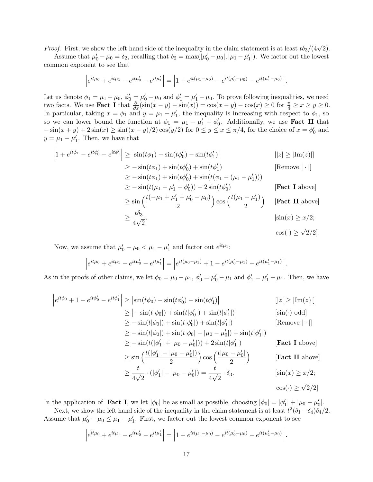*Proof.* First, we show the left hand side of the inequality in the claim statement is at least  $t\delta_3/(4\sqrt{2})$ .

Assume that  $\mu'_0 - \mu_0 = \delta_2$ , recalling that  $\delta_2 = \max(|\mu'_0 - \mu_0|, |\mu_1 - \mu'_1|)$ . We factor out the lowest common exponent to see that

$$
\left|e^{it\mu_0} + e^{it\mu_1} - e^{it\mu_0'} - e^{it\mu_1'}\right| = \left|1 + e^{it(\mu_1 - \mu_0)} - e^{it(\mu_0' - \mu_0)} - e^{it(\mu_1' - \mu_0)}\right|.
$$

Let us denote  $\phi_1 = \mu_1 - \mu_0$ ,  $\phi'_0 = \mu'_0 - \mu_0$  and  $\phi'_1 = \mu'_1 - \mu_0$ . To prove following inequalities, we need two facts. We use **Fact I** that  $\frac{\partial}{\partial x}(\sin(x-y) - \sin(x)) = \cos(x-y) - \cos(x) \ge 0$  for  $\frac{\pi}{4} \ge x \ge y \ge 0$ . In particular, taking  $x = \phi_1$  and  $y = \mu_1 - \mu'_1$ , the inequality is increasing with respect to  $\phi_1$ , so so we can lower bound the function at  $\phi_1 = \mu_1 - \mu'_1 + \phi'_0$ . Additionally, we use **Fact II** that  $-\sin(x+y)+2\sin(x) \ge \sin((x-y)/2)\cos(y/2)$  for  $0 \le y \le x \le \pi/4$ , for the choice of  $x = \phi'_0$  and  $y = \mu_1 - \mu'_1$ . Then, we have that

$$
\begin{aligned}\n\left|1 + e^{it\phi_1} - e^{it\phi_0'} - e^{it\phi_1'}\right| &\geq \left|\sin(t\phi_1) - \sin(t\phi_0') - \sin(t\phi_1')\right| & \quad \left[|z| \geq |\text{Im}(z)|\right] \\
&\geq -\sin(t\phi_1) + \sin(t\phi_0') + \sin(t\phi_1') & \quad \text{[Remove } |\cdot|\text{]} \\
&\geq -\sin(t\phi_1) + \sin(t\phi_0') + \sin(t(\phi_1 - (\mu_1 - \mu_1'))) & \quad \text{[Remove } |\cdot|\text{]} \\
&\geq -\sin(t(\mu_1 - \mu_1' + \phi_0')) + 2\sin(t\phi_0') & \quad \text{[Fact I above]} \\
&\geq \sin\left(\frac{t(-\mu_1 + \mu_1' + \mu_0' - \mu_0)}{2}\right)\cos\left(\frac{t(\mu_1 - \mu_1')}{2}\right) & \quad \text{[Fact II above]} \\
&\geq \frac{t\delta_3}{4\sqrt{2}} & \quad \text{[since } x \geq x/2; \\
&\quad \cos(\cdot) \geq \sqrt{2}/2]\n\end{aligned}
$$

Now, we assume that  $\mu'_0 - \mu_0 < \mu_1 - \mu'_1$  and factor out  $e^{it\mu_1}$ :

$$
\left|e^{it\mu_0} + e^{it\mu_1} - e^{it\mu'_0} - e^{it\mu'_1}\right| = \left|e^{it(\mu_0 - \mu_1)} + 1 - e^{it(\mu'_0 - \mu_1)} - e^{it(\mu'_1 - \mu_1)}\right|.
$$

As in the proofs of other claims, we let  $\phi_0 = \mu_0 - \mu_1$ ,  $\phi'_0 = \mu'_0 - \mu_1$  and  $\phi'_1 = \mu'_1 - \mu_1$ . Then, we have

$$
\begin{aligned}\n\left|e^{it\phi_0} + 1 - e^{it\phi_0'} - e^{it\phi_1'}\right| &\geq \left|\sin(t\phi_0) - \sin(t\phi_0') - \sin(t\phi_1')\right| & \left[|z| \geq |\text{Im}(z)|\right] \\
&\geq \left|-\sin(t|\phi_0|\right) + \sin(t|\phi_0')| + \sin(t|\phi_1')|\right] & \left[\sin(\cdot) \text{ odd}\right] \\
&\geq -\sin(t|\phi_0|) + \sin(t|\phi_0')| + \sin(t|\phi_1')| & \left[\text{Remove } |\cdot|\right] \\
&\geq -\sin(t|\phi_0|) + \sin(t|\phi_0| - |\mu_0 - \mu_0'|) + \sin(t|\phi_1'|) & \left[\text{Fact I above}\right] \\
&\geq \sin\left(\frac{t(|\phi_1'| - |\mu_0 - \mu_0'|)}{2}\right) \cos\left(\frac{t|\mu_0 - \mu_0'|}{2}\right) & \left[\text{Fact II above}\right] \\
&\geq \frac{t}{4\sqrt{2}} \cdot (|\phi_1'| - |\mu_0 - \mu_0'|) = \frac{t}{4\sqrt{2}} \cdot \delta_3. & \left[\sin(x) \geq x/2; \cos(\cdot) \geq \sqrt{2}/2\right]\n\end{aligned}
$$

In the application of **Fact I**, we let  $|\phi_0|$  be as small as possible, choosing  $|\phi_0| = |\phi'_1| + |\mu_0 - \mu'_0|$ .

Next, we show the left hand side of the inequality in the claim statement is at least  $t^2(\delta_1-\delta_4)\delta_4/2$ . Assume that  $\mu'_0 - \mu_0 \leq \mu_1 - \mu'_1$ . First, we factor out the lowest common exponent to see

$$
\left|e^{it\mu_0} + e^{it\mu_1} - e^{it\mu_0'} - e^{it\mu_1'}\right| = \left|1 + e^{it(\mu_1 - \mu_0)} - e^{it(\mu_0' - \mu_0)} - e^{it(\mu_1' - \mu_0)}\right|.
$$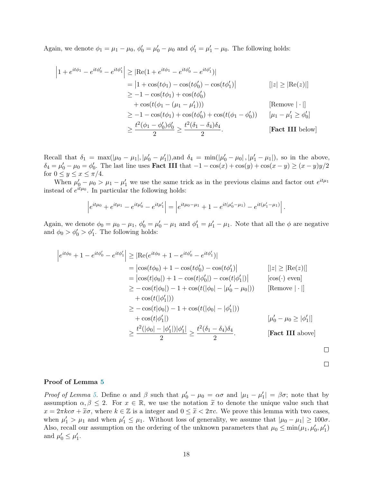Again, we denote  $\phi_1 = \mu_1 - \mu_0$ ,  $\phi'_0 = \mu'_0 - \mu_0$  and  $\phi'_1 = \mu'_1 - \mu_0$ . The following holds:

$$
\begin{aligned}\n\left|1 + e^{it\phi_1} - e^{it\phi_0'} - e^{it\phi_1'}\right| &\geq \left|\text{Re}(1 + e^{it\phi_1} - e^{it\phi_0'} - e^{it\phi_1'})\right| \\
&= \left|1 + \cos(t\phi_1) - \cos(t\phi_0') - \cos(t\phi_1')\right| \\
&\geq -1 - \cos(t\phi_1) + \cos(t\phi_0') \\
&\quad + \cos(t(\phi_1 - (\mu_1 - \mu_1'))) \\
&\geq -1 - \cos(t\phi_1) + \cos(t\phi_0') + \cos(t(\phi_1 - \phi_0')) \quad [\text{Remove } | \cdot |] \\
&\geq \frac{t^2(\phi_1 - \phi_0')\phi_0'}{2} \geq \frac{t^2(\delta_1 - \delta_4)\delta_4}{2}.\n\end{aligned}
$$
\n[Fact III below]

Recall that  $\delta_1 = \max(|\mu_0 - \mu_1|, |\mu'_0 - \mu'_1|)$ , and  $\delta_4 = \min(|\mu'_0 - \mu_0|, |\mu'_1 - \mu_1|)$ , so in the above,  $\delta_4 = \mu'_0 - \mu_0 = \phi'_0$ . The last line uses **Fact III** that  $-1 - \cos(x) + \cos(y) + \cos(x - y) \ge (x - y)y/2$ for  $0 \leq y \leq x \leq \pi/4$ .

When  $\mu'_0 - \mu_0 > \mu_1 - \mu'_1$  we use the same trick as in the previous claims and factor out  $e^{it\mu_1}$ instead of  $e^{it\mu_0}$ . In particular the following holds:

$$
\left|e^{it\mu_0} + e^{it\mu_1} - e^{it\mu_0'} - e^{it\mu_1'}\right| = \left|e^{it\mu_0 - \mu_1} + 1 - e^{it(\mu_0' - \mu_1)} - e^{it(\mu_1' - \mu_1)}\right|.
$$

Again, we denote  $\phi_0 = \mu_0 - \mu_1$ ,  $\phi'_0 = \mu'_0 - \mu_1$  and  $\phi'_1 = \mu'_1 - \mu_1$ . Note that all the  $\phi$  are negative and  $\phi_0 > \phi_0' > \phi_1'$ . The following holds:

$$
\begin{aligned}\n\left| e^{it\phi_0} + 1 - e^{it\phi_0'} - e^{it\phi_1'} \right| &\geq \left| \text{Re}(e^{it\phi_0} + 1 - e^{it\phi_0'} - e^{it\phi_1'} ) \right| \\
&= \left| \cos(t\phi_0) + 1 - \cos(t\phi_0') - \cos(t\phi_1') \right| \\
&= \left| \cos(t|\phi_0|) + 1 - \cos(t|\phi_0'|) - \cos(t|\phi_1'|) \right| \qquad [\cos(\cdot) \text{ even}] \\
&\geq -\cos(t|\phi_0|) - 1 + \cos(t(|\phi_0| - |\mu_0' - \mu_0|)) \qquad [\text{Remove } | \cdot |] \\
&\quad + \cos(t(|\phi_1'|)) \\
&\geq -\cos(t|\phi_0|) - 1 + \cos(t(|\phi_0| - |\phi_1'|)) \\
&\quad + \cos(t|\phi_1'|) \qquad [\mu_0' - \mu_0 \geq |\phi_1'|] \\
&\geq \frac{t^2(|\phi_0| - |\phi_1'|)|\phi_1'|}{2} \geq \frac{t^2(\delta_1 - \delta_4)\delta_4}{2}. \qquad [\text{Fact III above}]\n\end{aligned}
$$

$$
\sqcup
$$

$$
\qquad \qquad \Box
$$

#### Proof of Lemma [5](#page-7-1)

Proof of Lemma [5.](#page-7-1) Define  $\alpha$  and  $\beta$  such that  $\mu'_0 - \mu_0 = \alpha \sigma$  and  $|\mu_1 - \mu'_1| = \beta \sigma$ ; note that by assumption  $\alpha, \beta \leq 2$ . For  $x \in \mathbb{R}$ , we use the notation  $\tilde{x}$  to denote the unique value such that  $x = 2\pi kc\sigma + \tilde{x}\sigma$ , where  $k \in \mathbb{Z}$  is a integer and  $0 \leq \tilde{x} < 2\pi c$ . We prove this lemma with two cases, when  $\mu'_1 > \mu_1$  and when  $\mu'_1 \leq \mu_1$ . Without loss of generality, we assume that  $|\mu_0 - \mu_1| \geq 100\sigma$ . Also, recall our assumption on the ordering of the unknown parameters that  $\mu_0 \le \min(\mu_1, \mu'_0, \mu'_1)$ and  $\mu'_0 \leq \mu'_1$ .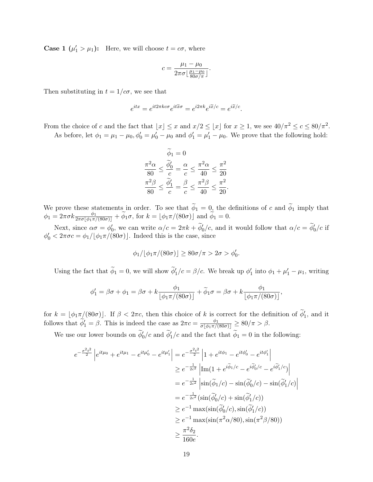**Case 1**  $(\mu'_1 > \mu_1)$ : Here, we will choose  $t = c\sigma$ , where

$$
c = \frac{\mu_1 - \mu_0}{2\pi\sigma \left\lfloor \frac{\mu_1 - \mu_0}{80\sigma/\pi} \right\rfloor}.
$$

Then substituting in  $t = 1/c\sigma$ , we see that

$$
e^{itx}=e^{it2\pi k c\sigma}e^{it\widetilde{x}\sigma}=e^{i2\pi k}e^{i\widetilde{x}/c}=e^{i\widetilde{x}/c}.
$$

From the choice of c and the fact that  $|x| \leq x$  and  $x/2 \leq |x|$  for  $x \geq 1$ , we see  $40/\pi^2 \leq c \leq 80/\pi^2$ . As before, let  $\phi_1 = \mu_1 - \mu_0$ ,  $\phi'_0 = \mu'_0 - \mu_0$  and  $\phi'_1 = \mu'_1 - \mu_0$ . We prove that the following hold:

$$
\widetilde{\phi}_1 = 0
$$
  

$$
\frac{\pi^2 \alpha}{80} \le \frac{\widetilde{\phi}_0'}{c} = \frac{\alpha}{c} \le \frac{\pi^2 \alpha}{40} \le \frac{\pi^2}{20}
$$
  

$$
\frac{\pi^2 \beta}{80} \le \frac{\widetilde{\phi}_1'}{c} = \frac{\beta}{c} \le \frac{\pi^2 \beta}{40} \le \frac{\pi^2}{20}.
$$

We prove these statements in order. To see that  $\phi_1 = 0$ , the definitions of c and  $\phi_1$  imply that  $\phi_1 = 2\pi\sigma k \frac{\phi_1}{2\pi\sigma[\phi_1\pi/(80\sigma)]} + \widetilde{\phi}_1\sigma$ , for  $k = [\phi_1\pi/(80\sigma)]$  and  $\widetilde{\phi}_1 = 0$ .

Next, since  $\alpha \sigma = \phi'_0$ , we can write  $\alpha/c = 2\pi k + \tilde{\phi}'_0/c$ , and it would follow that  $\alpha/c = \tilde{\phi}'_0/c$  if  $\phi'_0 < 2\pi\sigma c = \phi_1/[\phi_1\pi/(80\sigma)]$ . Indeed this is the case, since

$$
\phi_1/\lfloor \phi_1 \pi/(80\sigma)\rfloor \ge 80\sigma/\pi > 2\sigma > \phi'_0.
$$

Using the fact that  $\tilde{\phi}_1 = 0$ , we will show  $\tilde{\phi}'_1/c = \beta/c$ . We break up  $\phi'_1$  into  $\phi_1 + \mu'_1 - \mu_1$ , writing

$$
\phi_1' = \beta \sigma + \phi_1 = \beta \sigma + k \frac{\phi_1}{\left[\phi_1 \pi/(80\sigma)\right]} + \widetilde{\phi}_1 \sigma = \beta \sigma + k \frac{\phi_1}{\left[\phi_1 \pi/(80\sigma)\right]},
$$

for  $k = \lfloor \phi_1 \pi \lfloor (80\sigma) \rfloor$ . If  $\beta < 2\pi c$ , then this choice of k is correct for the definition of  $\widetilde{\phi}'_1$ , and it follows that  $\widetilde{\phi}'_1 = \beta$ . This is indeed the case as  $2\pi c = \frac{\phi_1}{\sigma[\phi_1 \pi/(80\sigma)]} \ge 80/\pi > \beta$ .

We use our lower bounds on  $\phi'_0/c$  and  $\phi'_1/c$  and the fact that  $\phi_1 = 0$  in the following:

$$
e^{-\frac{\sigma^2 t^2}{2}} \left| e^{it\mu_0} + e^{it\mu_1} - e^{it\mu_0'} - e^{it\mu_1'} \right| = e^{-\frac{\sigma^2 t^2}{2}} \left| 1 + e^{it\phi_1} - e^{it\phi_0'} - e^{it\phi_1'} \right|
$$
  
\n
$$
\geq e^{-\frac{1}{2c^2}} \left| \text{Im}(1 + e^{i\widetilde{\phi}_1/c} - e^{i\widetilde{\phi}_0/c} - e^{i\widetilde{\phi}_1'/c}) \right|
$$
  
\n
$$
= e^{-\frac{1}{2c^2}} \left| \sin(\widetilde{\phi}_1/c) - \sin(\widetilde{\phi}_0'/c) - \sin(\widetilde{\phi}_1'/c) \right|
$$
  
\n
$$
= e^{-\frac{1}{2c^2}} (\sin(\widetilde{\phi}_0'/c) + \sin(\widetilde{\phi}_1'/c))
$$
  
\n
$$
\geq e^{-1} \max(\sin(\widetilde{\phi}_0'/c), \sin(\widetilde{\phi}_1'/c))
$$
  
\n
$$
\geq e^{-1} \max(\sin(\pi^2 \alpha/80), \sin(\pi^2 \beta/80))
$$
  
\n
$$
\geq \frac{\pi^2 \delta_2}{160e}.
$$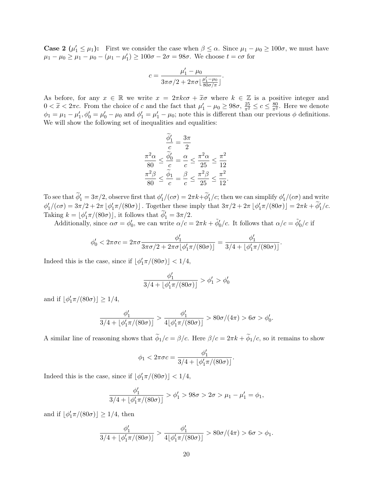**Case 2**  $(\mu'_1 \leq \mu_1)$ : First we consider the case when  $\beta \leq \alpha$ . Since  $\mu_1 - \mu_0 \geq 100\sigma$ , we must have  $\mu_1 - \mu_0 \ge \mu_1 - \mu_0 - (\mu_1 - \mu_1') \ge 100\sigma - 2\sigma = 98\sigma$ . We choose  $t = c\sigma$  for

$$
c = \frac{\mu'_1 - \mu_0}{3\pi\sigma/2 + 2\pi\sigma \left\lfloor \frac{\mu'_1 - \mu_0}{80\sigma/\pi} \right\rfloor}.
$$

As before, for any  $x \in \mathbb{R}$  we write  $x = 2\pi kc\sigma + \tilde{x}\sigma$  where  $k \in \mathbb{Z}$  is a positive integer and  $0 < \tilde{x} < 2\pi c$ . From the choice of c and the fact that  $\mu'_1 - \mu_0 \ge 98\sigma$ ,  $\frac{25}{\pi^2} \le c \le \frac{80}{\pi^2}$ . Here we denote  $\phi_1 = \mu_1 - \mu'_1$ ,  $\phi'_0 = \mu'_0 - \mu_0$  and  $\phi'_1 = \mu'_1 - \mu_0$ ; note this is different than our previous  $\phi$  definitions. We will show the following set of inequalities and equalities:

$$
\frac{\widetilde{\phi}'_1}{c} = \frac{3\pi}{2}
$$

$$
\frac{\pi^2 \alpha}{80} \le \frac{\widetilde{\phi}'_0}{c} = \frac{\alpha}{c} \le \frac{\pi^2 \alpha}{25} \le \frac{\pi^2}{12}
$$

$$
\frac{\pi^2 \beta}{80} \le \frac{\widetilde{\phi}_1}{c} = \frac{\beta}{c} \le \frac{\pi^2 \beta}{25} \le \frac{\pi^2}{12}.
$$

To see that  $\widetilde{\phi}'_1 = 3\pi/2$ , observe first that  $\phi'_1/(c\sigma) = 2\pi k + \widetilde{\phi}'_1/c$ ; then we can simplify  $\phi'_1/(c\sigma)$  and write  $\phi'_1/(c\sigma) = 3\pi/2 + 2\pi \left[ \phi'_1 \pi/(80\sigma) \right]$ . Together these imply that  $3\pi/2 + 2\pi \left[ \phi'_1 \pi/(80\sigma) \right] = 2\pi k + \widetilde{\phi}'_1/c$ . Taking  $k = \lfloor \phi'_1 \pi/(80\sigma) \rfloor$ , it follows that  $\widetilde{\phi}'_1 = 3\pi/2$ .

Additionally, since  $\alpha\sigma = \phi'_0$ , we can write  $\alpha/c = 2\pi k + \tilde{\phi}'_0/c$ . It follows that  $\alpha/c = \tilde{\phi}'_0/c$  if

$$
\phi_0' < 2\pi\sigma c = 2\pi\sigma \frac{\phi_1'}{3\pi\sigma/2 + 2\pi\sigma \lfloor \phi_1' \pi/(80\sigma) \rfloor} = \frac{\phi_1'}{3/4 + \lfloor \phi_1' \pi/(80\sigma) \rfloor}.
$$

Indeed this is the case, since if  $\lfloor \phi'_1 \pi/(80\sigma) \rfloor < 1/4$ ,

$$
\frac{\phi_1'}{3/4+\lfloor\phi_1'\pi/(80\sigma)\rfloor} > \phi_1' > \phi_0'
$$

and if  $\lfloor \phi'_1 \pi/(80\sigma) \rfloor \ge 1/4$ ,

$$
\frac{\phi_1'}{3/4 + \lfloor \phi_1' \pi/(80\sigma) \rfloor} > \frac{\phi_1'}{4 \lfloor \phi_1' \pi/(80\sigma) \rfloor} > 80\sigma/(4\pi) > 6\sigma > \phi_0'.
$$

A similar line of reasoning shows that  $\widetilde{\phi}_1/c = \beta/c$ . Here  $\beta/c = 2\pi k + \widetilde{\phi}_1/c$ , so it remains to show

$$
\phi_1<2\pi\sigma c=\frac{\phi_1'}{3/4+\lfloor\phi_1'\pi/(80\sigma)\rfloor}.
$$

Indeed this is the case, since if  $\lfloor \phi'_1 \pi/(80\sigma) \rfloor < 1/4$ ,

$$
\frac{\phi_1'}{3/4 + \lfloor \phi_1' \pi/(80\sigma) \rfloor} > \phi_1' > 98\sigma > 2\sigma > \mu_1 - \mu_1' = \phi_1,
$$

and if  $\lfloor \phi'_1 \pi/(80\sigma) \rfloor \ge 1/4$ , then

$$
\frac{\phi_1'}{3/4 + \lfloor \phi_1' \pi/(80\sigma) \rfloor} > \frac{\phi_1'}{4\lfloor \phi_1' \pi/(80\sigma) \rfloor} > 80\sigma/(4\pi) > 6\sigma > \phi_1.
$$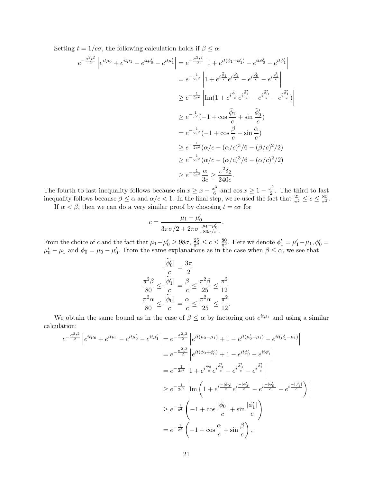Setting  $t = 1/c\sigma$ , the following calculation holds if  $\beta \leq \alpha$ :

$$
e^{-\frac{\sigma^2 t^2}{2}} \left| e^{it\mu_0} + e^{it\mu_1} - e^{it\mu_0'} - e^{it\mu_1'} \right| = e^{-\frac{\sigma^2 t^2}{2}} \left| 1 + e^{it(\phi_1 + \phi_1')} - e^{it\phi_0'} - e^{it\phi_1'} \right|
$$
  
\n
$$
= e^{-\frac{1}{2c^2}} \left| 1 + e^{i\frac{\tilde{\phi}_1}{c}} e^{i\frac{\tilde{\phi}_1'}{c}} - e^{i\frac{\tilde{\phi}_0'}{c}} - e^{i\frac{\tilde{\phi}_1'}{c}} \right|
$$
  
\n
$$
\geq e^{-\frac{1}{2c^2}} \left| \text{Im}(1 + e^{i\frac{\tilde{\phi}_1}{c}} e^{i\frac{\tilde{\phi}_1'}{c}} - e^{i\frac{\tilde{\phi}_0'}{c}} - e^{i\frac{\tilde{\phi}_1'}{c}}) \right|
$$
  
\n
$$
\geq e^{-\frac{1}{c^2}} (-1 + \cos \frac{\tilde{\phi}_1}{c} + \sin \frac{\tilde{\phi}_0'}{c})
$$
  
\n
$$
= e^{-\frac{1}{2c^2}} (-1 + \cos \frac{\beta}{c} + \sin \frac{\alpha}{c})
$$
  
\n
$$
\geq e^{-\frac{1}{2c^2}} (\alpha/c - (\alpha/c)^3/6 - (\beta/c)^2/2)
$$
  
\n
$$
\geq e^{-\frac{1}{2c^2}} (\alpha/c - (\alpha/c)^3/6 - (\alpha/c)^2/2)
$$
  
\n
$$
\geq e^{-\frac{1}{2c^2}} \frac{\alpha}{3c} \geq \frac{\pi^2 \delta_2}{240e}.
$$

The fourth to last inequality follows because  $\sin x \geq x - \frac{x^3}{6}$  $\frac{x^3}{6}$  and  $\cos x \ge 1 - \frac{x^2}{2}$  $\frac{c^2}{2}$ . The third to last inequality follows because  $\beta \leq \alpha$  and  $\alpha/c < 1$ . In the final step, we re-used the fact that  $\frac{25}{\pi^2} \leq c \leq \frac{80}{\pi^2}$ . If  $\alpha < \beta$ , then we can do a very similar proof by choosing  $t = c\sigma$  for

$$
c = \frac{\mu_1 - \mu'_0}{3\pi\sigma/2 + 2\pi\sigma \left\lfloor \frac{\mu_1 - \mu'_0}{80\sigma/\pi} \right\rfloor}.
$$

From the choice of c and the fact that  $\mu_1 - \mu'_0 \ge 98\sigma$ ,  $\frac{25}{\pi^2} \le c \le \frac{80}{\pi^2}$ . Here we denote  $\phi'_1 = \mu'_1 - \mu_1$ ,  $\phi'_0 =$  $\mu'_0 - \mu_1$  and  $\phi_0 = \mu_0 - \mu'_0$ . From the same explanations as in the case when  $\beta \leq \alpha$ , we see that

$$
\frac{|\widetilde{\phi}_0'|}{c} = \frac{3\pi}{2}
$$

$$
\frac{\pi^2 \beta}{80} \le \frac{|\widetilde{\phi}_1'|}{c} = \frac{\beta}{c} \le \frac{\pi^2 \beta}{25} \le \frac{\pi^2}{12}
$$

$$
\frac{\pi^2 \alpha}{80} \le \frac{|\widetilde{\phi}_0|}{c} = \frac{\alpha}{c} \le \frac{\pi^2 \alpha}{25} \le \frac{\pi^2}{12}.
$$

We obtain the same bound as in the case of  $\beta \leq \alpha$  by factoring out  $e^{it\mu_1}$  and using a similar calculation:

$$
e^{-\frac{\sigma^2 t^2}{2}} \left| e^{it\mu_0} + e^{it\mu_1} - e^{it\mu_0'} - e^{it\mu_1'} \right| = e^{-\frac{\sigma^2 t^2}{2}} \left| e^{it(\mu_0 - \mu_1)} + 1 - e^{it(\mu_0' - \mu_1)} - e^{it(\mu_1' - \mu_1)} \right|
$$
  
\n
$$
= e^{-\frac{\sigma^2 t^2}{2}} \left| e^{it(\phi_0 + \phi_0')} + 1 - e^{it\phi_0'} - e^{it\phi_1'} \right|
$$
  
\n
$$
= e^{-\frac{1}{2c^2}} \left| 1 + e^{i\frac{\tilde{\phi}_0}{c}} e^{i\frac{\tilde{\phi}_0'}{c}} - e^{i\frac{\tilde{\phi}_0'}{c}} - e^{i\frac{\tilde{\phi}_1'}{c}} \right|
$$
  
\n
$$
\geq e^{-\frac{1}{2c^2}} \left| \text{Im} \left( 1 + e^{i\frac{-|\tilde{\phi}_0|}{c}} e^{i\frac{-|\tilde{\phi}_0'|}{c}} - e^{i\frac{-|\tilde{\phi}_0'|}{c}} - e^{i\frac{-|\tilde{\phi}_0'|}{c}} \right| \right|
$$
  
\n
$$
\geq e^{-\frac{1}{c^2}} \left( -1 + \cos \frac{|\tilde{\phi}_0|}{c} + \sin \frac{|\tilde{\phi}_1'|}{c} \right)
$$
  
\n
$$
= e^{-\frac{1}{c^2}} \left( -1 + \cos \frac{\alpha}{c} + \sin \frac{\beta}{c} \right),
$$